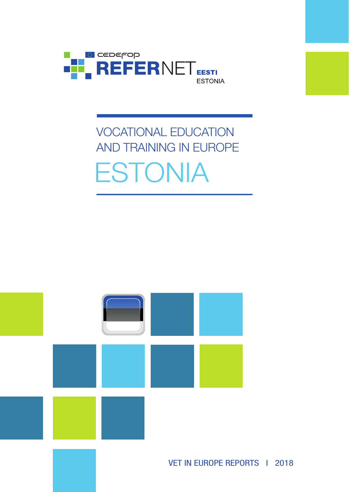

# VOCATIONAL EDUCATION AND TRAINING IN EUROPE ESTONIA

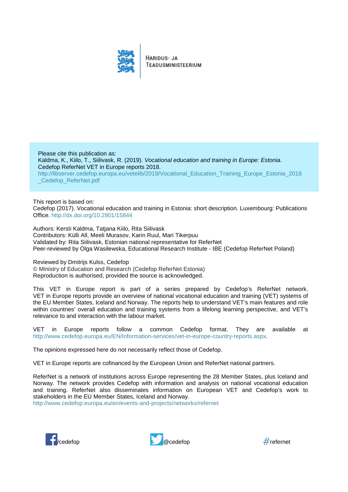

HARIDUS- JA TEADUSMINISTEERIUM

Please cite this publication as: Kaldma, K., Kiilo, T., Siilivask, R. (2019). *Vocational education and training in Europe: Estonia*. Cedefop ReferNet VET in Europe reports 2018. [http://libserver.cedefop.europa.eu/vetelib/2019/Vocational\\_Education\\_Training\\_Europe\\_Estonia\\_2018](http://libserver.cedefop.europa.eu/vetelib/2019/Vocational_Education_Training_Europe_Estonia_2018_Cedefop_ReferNet.pdf) [\\_Cedefop\\_ReferNet.pdf](http://libserver.cedefop.europa.eu/vetelib/2019/Vocational_Education_Training_Europe_Estonia_2018_Cedefop_ReferNet.pdf)

#### This report is based on:

Cedefop (2017). Vocational education and training in Estonia: short description. Luxembourg: Publications Office.<http://dx.doi.org/10.2801/15844>

Authors: Kersti Kaldma, Tatjana Kiilo, Rita Siilivask Contributors: Külli All, Meeli Murasov, Karin Ruul, Mari Tikerpuu Validated by: Rita Siilivask, Estonian national representative for ReferNet Peer-reviewed by Olga Wasilewska, Educational Research Institute - IBE (Cedefop ReferNet Poland)

Reviewed by Dmitrijs Kulss, Cedefop

© Ministry of Education and Research (Cedefop ReferNet Estonia) Reproduction is authorised, provided the source is acknowledged.

This VET in Europe report is part of a series prepared by Cedefop's ReferNet network. VET in Europe reports provide an overview of national vocational education and training (VET) systems of the EU Member States, Iceland and Norway. The reports help to understand VET's main features and role within countries' overall education and training systems from a lifelong learning perspective, and VET's relevance to and interaction with the labour market.

VET in Europe reports follow a common Cedefop format. They are available at [http://www.cedefop.europa.eu/EN/Information-services/vet-in-europe-country-reports.aspx.](http://www.cedefop.europa.eu/EN/Information-services/vet-in-europe-country-reports.aspx)

The opinions expressed here do not necessarily reflect those of Cedefop.

VET in Europe reports are cofinanced by the European Union and ReferNet national partners.

ReferNet is a network of institutions across Europe representing the 28 Member States, plus Iceland and Norway. The network provides Cedefop with information and analysis on national vocational education and training. ReferNet also disseminates information on European VET and Cedefop's work to stakeholders in the EU Member States, Iceland and Norway.

<http://www.cedefop.europa.eu/en/events-and-projects/networks/refernet>





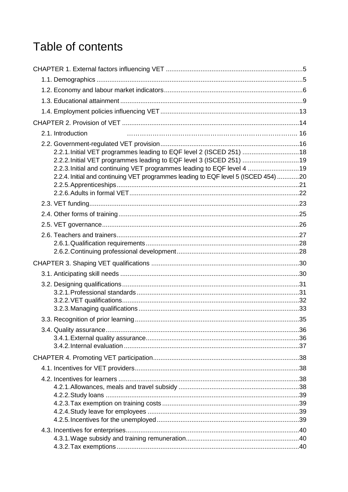## Table of contents

| 2.1. Introduction                                                                                                                                            |  |
|--------------------------------------------------------------------------------------------------------------------------------------------------------------|--|
|                                                                                                                                                              |  |
| 2.2.1. Initial VET programmes leading to EQF level 2 (ISCED 251) 18                                                                                          |  |
| 2.2.2. Initial VET programmes leading to EQF level 3 (ISCED 251) 19                                                                                          |  |
| 2.2.3. Initial and continuing VET programmes leading to EQF level 4 19<br>2.2.4. Initial and continuing VET programmes leading to EQF level 5 (ISCED 454) 20 |  |
|                                                                                                                                                              |  |
|                                                                                                                                                              |  |
|                                                                                                                                                              |  |
|                                                                                                                                                              |  |
|                                                                                                                                                              |  |
|                                                                                                                                                              |  |
|                                                                                                                                                              |  |
|                                                                                                                                                              |  |
|                                                                                                                                                              |  |
|                                                                                                                                                              |  |
|                                                                                                                                                              |  |
|                                                                                                                                                              |  |
|                                                                                                                                                              |  |
|                                                                                                                                                              |  |
|                                                                                                                                                              |  |
|                                                                                                                                                              |  |
|                                                                                                                                                              |  |
|                                                                                                                                                              |  |
|                                                                                                                                                              |  |
|                                                                                                                                                              |  |
|                                                                                                                                                              |  |
|                                                                                                                                                              |  |
|                                                                                                                                                              |  |
|                                                                                                                                                              |  |
|                                                                                                                                                              |  |
|                                                                                                                                                              |  |
|                                                                                                                                                              |  |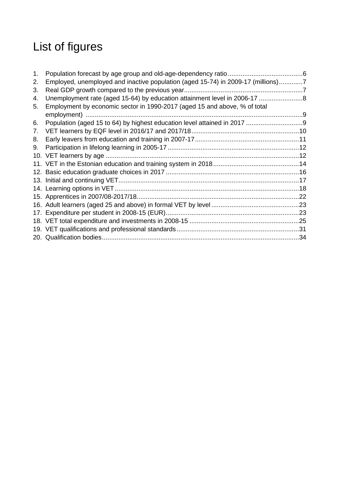## List of figures

| 1. |                                                                                  |  |
|----|----------------------------------------------------------------------------------|--|
| 2. | Employed, unemployed and inactive population (aged 15-74) in 2009-17 (millions)7 |  |
| 3. |                                                                                  |  |
| 4. | Unemployment rate (aged 15-64) by education attainment level in 2006-17 8        |  |
| 5. | Employment by economic sector in 1990-2017 (aged 15 and above, % of total        |  |
|    |                                                                                  |  |
| 6. |                                                                                  |  |
| 7. |                                                                                  |  |
| 8. |                                                                                  |  |
| 9. |                                                                                  |  |
|    |                                                                                  |  |
|    |                                                                                  |  |
|    |                                                                                  |  |
|    |                                                                                  |  |
|    |                                                                                  |  |
|    |                                                                                  |  |
|    |                                                                                  |  |
|    |                                                                                  |  |
|    |                                                                                  |  |
|    |                                                                                  |  |
|    |                                                                                  |  |
|    |                                                                                  |  |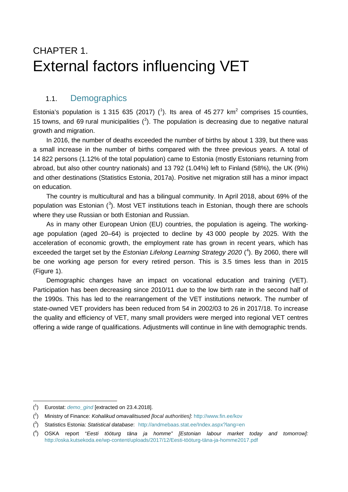## <span id="page-5-0"></span>CHAPTER 1. External factors influencing VET

## <span id="page-5-1"></span>1.1. Demographics

Estonia's population is [1](#page-5-2) 315 635 (2017)  $(1)$ . Its area of 45 277 km<sup>2</sup> comprises 15 counties, 15 towns, and 69 rural municipalities  $(^2)$  $(^2)$  $(^2)$ . The population is decreasing due to negative natural growth and migration.

In 2016, the number of deaths exceeded the number of births by about 1 339, but there was a small increase in the number of births compared with the three previous years. A total of 14 822 persons (1.12% of the total population) came to Estonia (mostly Estonians returning from abroad, but also other country nationals) and 13 792 (1.04%) left to Finland (58%), the UK (9%) and other destinations (Statistics Estonia, 2017a). Positive net migration still has a minor impact on education.

The country is multicultural and has a bilingual community. In April 2018, about 69% of the population was Estonian  $(3)$  $(3)$  $(3)$ . Most VET institutions teach in Estonian, though there are schools where they use Russian or both Estonian and Russian.

As in many other European Union (EU) countries, the population is ageing. The workingage population (aged 20–64) is projected to decline by 43 000 people by 2025. With the acceleration of economic growth, the employment rate has grown in recent years, which has exceeded the target set by the *Estonian Lifelong Learning Strategy 2020* ( [4](#page-5-5) ). By 2060, there will be one working age person for every retired person. This is 3.5 times less than in 2015 (Figure 1).

Demographic changes have an impact on vocational education and training (VET). Participation has been decreasing since 2010/11 due to the low birth rate in the second half of the 1990s. This has led to the rearrangement of the VET institutions network. The number of state-owned VET providers has been reduced from 54 in 2002/03 to 26 in 2017/18. To increase the quality and efficiency of VET, many small providers were merged into regional VET centres offering a wide range of qualifications. Adjustments will continue in line with demographic trends.

<span id="page-5-2"></span><sup>-</sup>( 1 ) Eurostat: *[demo\\_gind](http://appsso.eurostat.ec.europa.eu/nui/show.do?dataset=demo_gind&lang=en)* [extracted on 23.4.2018].

<span id="page-5-3"></span><sup>(</sup> 2 ) Ministry of Finance: *Kohalikud omavalitsused [local authorities]*: <http://www.fin.ee/kov>

<span id="page-5-4"></span><sup>(</sup> 3 ) Statistics Estonia: *Statistical database*: <http://andmebaas.stat.ee/Index.aspx?lang=en>

<span id="page-5-5"></span><sup>(</sup> 4 ) OSKA report "*Eesti tööturg täna ja homme" [Estonian labour market today and tomorrow]:* [http://oska.kutsekoda.ee/wp-content/uploads/2017/12/Eesti-tööturg-täna-ja-homme2017.pdf](http://oska.kutsekoda.ee/wp-content/uploads/2017/12/Eesti-t%C3%B6%C3%B6turg-t%C3%A4na-ja-homme2017.pdf)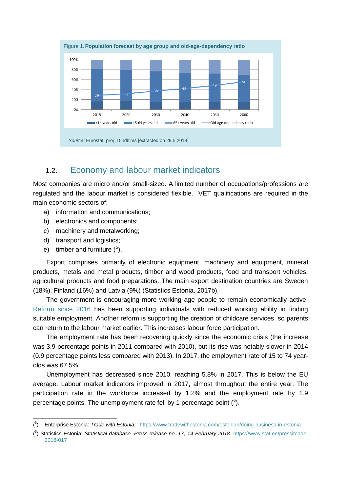<span id="page-6-1"></span>

## <span id="page-6-0"></span>1.2. Economy and labour market indicators

Most companies are micro and/or small-sized. A limited number of occupations/professions are regulated and the labour market is considered flexible. VET qualifications are required in the main economic sectors of:

- a) information and communications;
- b) electronics and components;
- c) machinery and metalworking;
- d) transport and logistics;
- e) timber and furniture  $(5)$  $(5)$  $(5)$ .

-

Export comprises primarily of electronic equipment, machinery and equipment, mineral products, metals and metal products, timber and wood products, food and transport vehicles, agricultural products and food preparations. The main export destination countries are Sweden (18%), Finland (16%) and Latvia (9%) (Statistics Estonia, 2017b).

The government is encouraging more working age people to remain economically active. [Reform since 2016](https://www.tootukassa.ee/eng/content/work-ability-reforms/working-ability-assessment) has been supporting individuals with reduced working ability in finding suitable employment. Another reform is supporting the creation of childcare services, so parents can return to the labour market earlier. This increases labour force participation.

The employment rate has been recovering quickly since the economic crisis (the increase was 3.9 percentage points in 2011 compared with 2010), but its rise was notably slower in 2014 (0.9 percentage points less compared with 2013). In 2017, the employment rate of 15 to 74 yearolds was 67.5%.

Unemployment has decreased since 2010, reaching 5.8% in 2017. This is below the EU average. Labour market indicators improved in 2017, almost throughout the entire year. The participation rate in the workforce increased by 1.2% and the employment rate by 1.9 percentage points. The unemployment rate fell by 1 percentage point  $(^6)$  $(^6)$  $(^6)$ .

<span id="page-6-2"></span><sup>(</sup> 5 ) Enterprise Estonia: *Trade with Estonia:* <https://www.tradewithestonia.com/estonian/doing-business-in-estonia>

<span id="page-6-3"></span><sup>(</sup> 6 ) Statistics Estonia: *Statistical database. Press release no. 17, 14 February 2018*. [https://www.stat.ee/pressiteade-](https://www.stat.ee/pressiteade-2018-017)[2018-017](https://www.stat.ee/pressiteade-2018-017)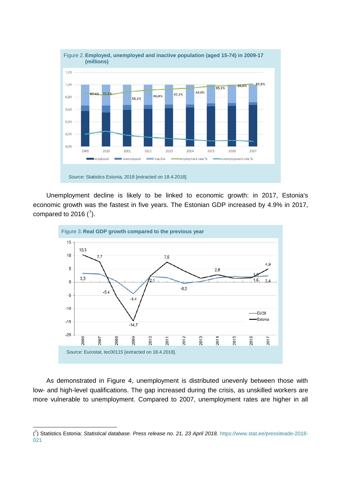<span id="page-7-0"></span>

Unemployment decline is likely to be linked to economic growth: in 2017, Estonia's economic growth was the fastest in five years. The Estonian GDP increased by 4.9% in 2017, compared to 2016  $(^7)$  $(^7)$  $(^7)$ .

<span id="page-7-1"></span>

As demonstrated in Figure 4, unemployment is distributed unevenly between those with low- and high-level qualifications. The gap increased during the crisis, as unskilled workers are more vulnerable to unemployment. Compared to 2007, unemployment rates are higher in all

-

<span id="page-7-2"></span><sup>(</sup> 7 ) Statistics Estonia: *Statistical database*. *Press release no. 21, 23 April 2018.* [https://www.stat.ee/pressiteade-2018-](https://www.stat.ee/pressiteade-2018-021) [021](https://www.stat.ee/pressiteade-2018-021)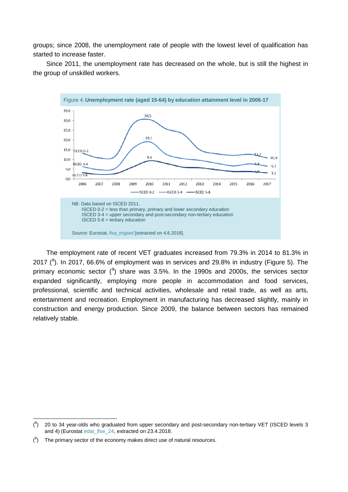groups; since 2008, the unemployment rate of people with the lowest level of qualification has started to increase faster.

Since 2011, the unemployment rate has decreased on the whole, but is still the highest in the group of unskilled workers.

<span id="page-8-0"></span>

The employment rate of recent VET graduates increased from 79.3% in 2014 to 81.3% in 2017 ( ${}^{8}$  ${}^{8}$  ${}^{8}$ ). In 2017, 66.6% of employment was in services and 29.8% in industry (Figure 5). The primary economic sector  $(9)$  $(9)$  $(9)$  share was 3.5%. In the 1990s and 2000s, the services sector expanded significantly, employing more people in accommodation and food services, professional, scientific and technical activities, wholesale and retail trade, as well as arts, entertainment and recreation. Employment in manufacturing has decreased slightly, mainly in construction and energy production. Since 2009, the balance between sectors has remained relatively stable.

-

<span id="page-8-1"></span> $(^{8})$  20 to 34 year-olds who graduated from upper secondary and post-secondary non-tertiary VET (ISCED levels 3 and 4) (Eurosta[t edat\\_lfse\\_24,](http://appsso.eurostat.ec.europa.eu/nui/show.do?dataset=edat_lfse_24) extracted on 23.4.2018.

<span id="page-8-2"></span> $(3)$  The primary sector of the economy makes direct use of natural resources.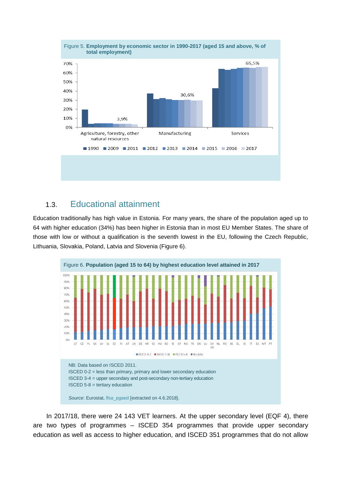<span id="page-9-1"></span>

## <span id="page-9-0"></span>1.3. Educational attainment

Education traditionally has high value in Estonia. For many years, the share of the population aged up to 64 with higher education (34%) has been higher in Estonia than in most EU Member States. The share of those with low or without a qualification is the seventh lowest in the EU, following the Czech Republic, Lithuania, Slovakia, Poland, Latvia and Slovenia (Figure 6).

<span id="page-9-2"></span>

In 2017/18, there were 24 143 VET learners. At the upper secondary level (EQF 4), there are two types of programmes – ISCED 354 programmes that provide upper secondary education as well as access to higher education, and ISCED 351 programmes that do not allow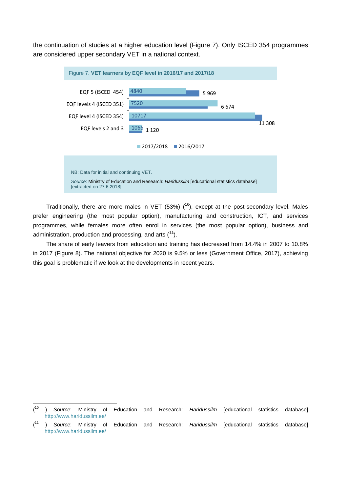the continuation of studies at a higher education level (Figure 7). Only ISCED 354 programmes are considered upper secondary VET in a national context.

<span id="page-10-0"></span>

Traditionally, there are more males in VET (53%)  $(^{10}$ ), except at the post-secondary level. Males prefer engineering (the most popular option), manufacturing and construction, ICT, and services programmes, while females more often enrol in services (the most popular option), business and administration, production and processing, and arts  $(1)$ .

The share of early leavers from education and training has decreased from 14.4% in 2007 to 10.8% in 2017 (Figure 8). The national objective for 2020 is 9.5% or less (Government Office, 2017), achieving this goal is problematic if we look at the developments in recent years.

<span id="page-10-1"></span><sup>-</sup>( <sup>10</sup> ) *Source*: Ministry of Education and Research: *Haridussilm* [educational statistics database] <http://www.haridussilm.ee/>

<span id="page-10-2"></span> $(11)$ <sup>11</sup> ) *Source*: Ministry of Education and Research: *Haridussilm* [educational statistics database] <http://www.haridussilm.ee/>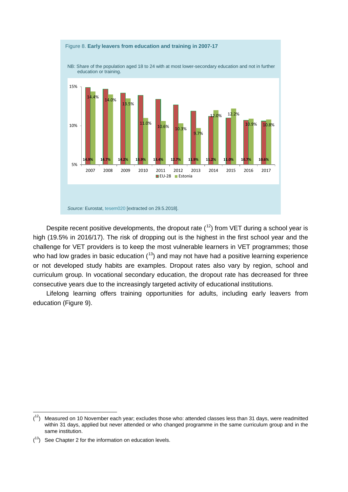<span id="page-11-0"></span>

Despite recent positive developments, the dropout rate  $(^{12})$  from VET during a school year is high (19.5% in 2016/17). The risk of dropping out is the highest in the first school year and the challenge for VET providers is to keep the most vulnerable learners in VET programmes; those who had low grades in basic education  $(13)$  $(13)$  and may not have had a positive learning experience or not developed study habits are examples. Dropout rates also vary by region, school and curriculum group. In vocational secondary education, the dropout rate has decreased for three consecutive years due to the increasingly targeted activity of educational institutions.

Lifelong learning offers training opportunities for adults, including early leavers from education (Figure 9).

-

<span id="page-11-1"></span> $(1<sup>2</sup>)$  Measured on 10 November each year; excludes those who: attended classes less than 31 days, were readmitted within 31 days, applied but never attended or who changed programme in the same curriculum group and in the same institution.

<span id="page-11-2"></span> $(13)$  See Chapter 2 for the information on education levels.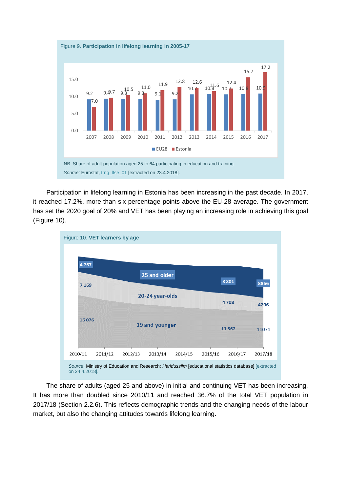<span id="page-12-0"></span>

Participation in lifelong learning in Estonia has been increasing in the past decade. In 2017, it reached 17.2%, more than six percentage points above the EU-28 average. The government has set the 2020 goal of 20% and VET has been playing an increasing role in achieving this goal (Figure 10).

<span id="page-12-1"></span>

The share of adults (aged 25 and above) in initial and continuing VET has been increasing. It has more than doubled since 2010/11 and reached 36.7% of the total VET population in 2017/18 (Section [2.2.6\)](#page-22-0). This reflects demographic trends and the changing needs of the labour market, but also the changing attitudes towards lifelong learning.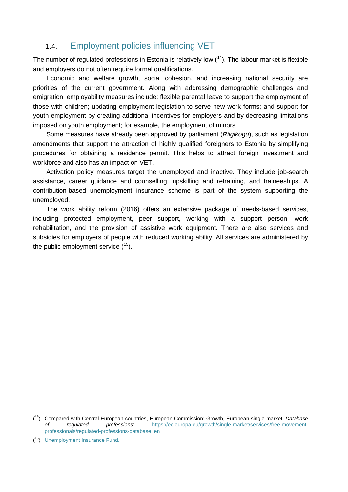## <span id="page-13-0"></span>1.4. Employment policies influencing VET

The number of regulated professions in Estonia is relatively low  $(^{14})$ . The labour market is flexible and employers do not often require formal qualifications.

Economic and welfare growth, social cohesion, and increasing national security are priorities of the current government. Along with addressing demographic challenges and emigration, employability measures include: flexible parental leave to support the employment of those with children; updating employment legislation to serve new work forms; and support for youth employment by creating additional incentives for employers and by decreasing limitations imposed on youth employment; for example, the employment of minors.

Some measures have already been approved by parliament (*Riigikogu*), such as legislation amendments that support the attraction of highly qualified foreigners to Estonia by simplifying procedures for obtaining a residence permit. This helps to attract foreign investment and workforce and also has an impact on VET.

Activation policy measures target the unemployed and inactive. They include job-search assistance, career guidance and counselling, upskilling and retraining, and traineeships. A contribution-based unemployment insurance scheme is part of the system supporting the unemployed.

The work ability reform (2016) offers an extensive package of needs-based services, including protected employment, peer support, working with a support person, work rehabilitation, and the provision of assistive work equipment. There are also services and subsidies for employers of people with reduced working ability. All services are administered by the public employment service (<sup>15</sup>).

-

<span id="page-13-1"></span><sup>(</sup> 14) Compared with Central European countries, European Commission: Growth, European single market: *Database of regulated professions*: [https://ec.europa.eu/growth/single-market/services/free-movement](https://ec.europa.eu/growth/single-market/services/free-movement-professionals/regulated-professions-database_en)[professionals/regulated-professions-database\\_en](https://ec.europa.eu/growth/single-market/services/free-movement-professionals/regulated-professions-database_en)

<span id="page-13-2"></span><sup>(</sup> 15) [Unemployment Insurance Fund.](https://www.tootukassa.ee/)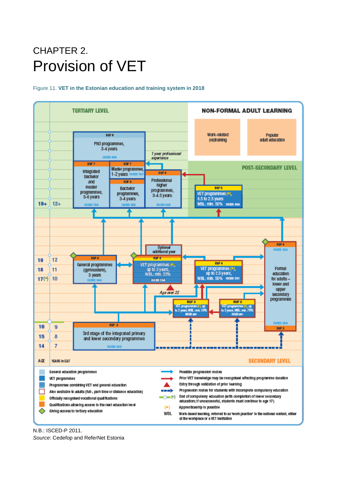## <span id="page-14-0"></span>CHAPTER 2. Provision of VET

#### <span id="page-14-1"></span>Figure 11. **VET in the Estonian education and training system in 2018**



N.B.: ISCED-P 2011.

*Source*: Cedefop and ReferNet Estonia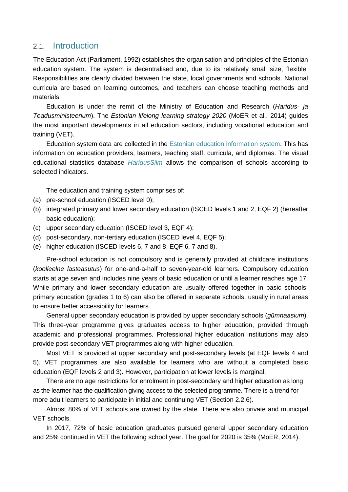### 2.1. Introduction

The Education Act (Parliament, 1992) establishes the organisation and principles of the Estonian education system. The system is decentralised and, due to its relatively small size, flexible. Responsibilities are clearly divided between the state, local governments and schools. National curricula are based on learning outcomes, and teachers can choose teaching methods and materials.

Education is under the remit of the Ministry of Education and Research (*Haridus- ja Teadusministeerium*). The *Estonian lifelong learning strategy 2020* (MoER et al., 2014) guides the most important developments in all education sectors, including vocational education and training (VET).

Education system data are collected in the [Estonian education information system.](http://www.ehis.ee/) This has information on education providers, learners, teaching staff, curricula, and diplomas. The visual educational statistics database *[HaridusSilm](http://www.haridussilm.ee/)* allows the comparison of schools according to selected indicators.

The education and training system comprises of:

- (a) pre-school education (ISCED level 0);
- (b) integrated primary and lower secondary education (ISCED levels 1 and 2, EQF 2) (hereafter basic education);
- (c) upper secondary education (ISCED level 3, EQF 4);
- (d) post-secondary, non-tertiary education (ISCED level 4, EQF 5);
- (e) higher education (ISCED levels 6, 7 and 8, EQF 6, 7 and 8).

Pre-school education is not compulsory and is generally provided at childcare institutions (*koolieelne lasteasutus*) for one-and-a-half to seven-year-old learners. Compulsory education starts at age seven and includes nine years of basic education or until a learner reaches age 17. While primary and lower secondary education are usually offered together in basic schools, primary education (grades 1 to 6) can also be offered in separate schools, usually in rural areas to ensure better accessibility for learners.

General upper secondary education is provided by upper secondary schools (*gümnaasium*). This three-year programme gives graduates access to higher education, provided through academic and professional programmes. Professional higher education institutions may also provide post-secondary VET programmes along with higher education.

Most VET is provided at upper secondary and post-secondary levels (at EQF levels 4 and 5). VET programmes are also available for learners who are without a completed basic education (EQF levels 2 and 3). However, participation at lower levels is marginal.

There are no age restrictions for enrolment in post-secondary and higher education as long as the learner has the qualification giving access to the selected programme. There is a trend for more adult learners to participate in initial and continuing VET (Section [2.2.6\)](#page-22-0).

Almost 80% of VET schools are owned by the state. There are also private and municipal VET schools.

In 2017, 72% of basic education graduates pursued general upper secondary education and 25% continued in VET the following school year. The goal for 2020 is 35% (MoER, 2014).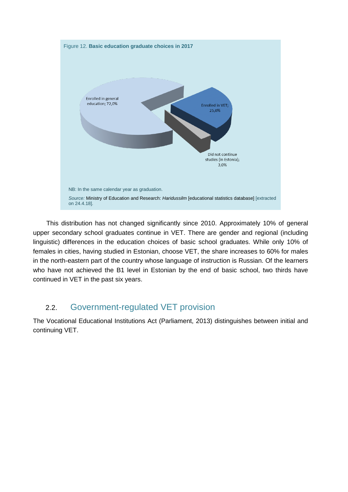<span id="page-16-1"></span>

This distribution has not changed significantly since 2010. Approximately 10% of general upper secondary school graduates continue in VET. There are gender and regional (including linguistic) differences in the education choices of basic school graduates. While only 10% of females in cities, having studied in Estonian, choose VET, the share increases to 60% for males in the north-eastern part of the country whose language of instruction is Russian. Of the learners who have not achieved the B1 level in Estonian by the end of basic school, two thirds have continued in VET in the past six years.

## <span id="page-16-0"></span>2.2. Government-regulated VET provision

The Vocational Educational Institutions Act (Parliament, 2013) distinguishes between initial and continuing VET.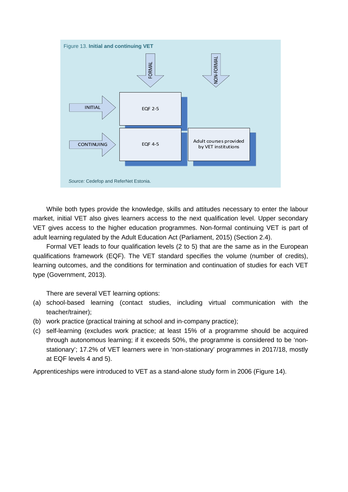<span id="page-17-0"></span>

While both types provide the knowledge, skills and attitudes necessary to enter the labour market, initial VET also gives learners access to the next qualification level. Upper secondary VET gives access to the higher education programmes. Non-formal continuing VET is part of adult learning regulated by the Adult Education Act (Parliament, 2015) (Section [2.4\)](#page-25-0).

Formal VET leads to four qualification levels (2 to 5) that are the same as in the European qualifications framework (EQF). The VET standard specifies the volume (number of credits), learning outcomes, and the conditions for termination and continuation of studies for each VET type (Government, 2013).

There are several VET learning options:

- (a) school-based learning (contact studies, including virtual communication with the teacher/trainer);
- (b) work practice (practical training at school and in-company practice);
- (c) self-learning (excludes work practice; at least 15% of a programme should be acquired through autonomous learning; if it exceeds 50%, the programme is considered to be 'nonstationary'; 17.2% of VET learners were in 'non-stationary' programmes in 2017/18, mostly at EQF levels 4 and 5).

Apprenticeships were introduced to VET as a stand-alone study form in 2006 (Figure [14\)](#page-18-2).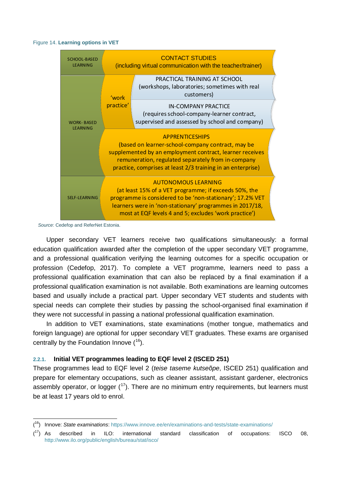#### <span id="page-18-2"></span><span id="page-18-1"></span>Figure 14. **Learning options in VET**



*Source*: Cedefop and ReferNet Estonia.

-

Upper secondary VET learners receive two qualifications simultaneously: a formal education qualification awarded after the completion of the upper secondary VET programme, and a professional qualification verifying the learning outcomes for a specific occupation or profession (Cedefop, 2017). To complete a VET programme, learners need to pass a professional qualification examination that can also be replaced by a final examination if a professional qualification examination is not available. Both examinations are learning outcomes based and usually include a practical part. Upper secondary VET students and students with special needs can complete their studies by passing the school-organised final examination if they were not successful in passing a national professional qualification examination.

In addition to VET examinations, state examinations (mother tongue, mathematics and foreign language) are optional for upper secondary VET graduates. These exams are organised centrally by the Foundation Innove  $(16)$  $(16)$ .

#### <span id="page-18-0"></span>**2.2.1. Initial VET programmes leading to EQF level 2 (ISCED 251)**

These programmes lead to EQF level 2 (*teise taseme kutseõpe*, ISCED 251) qualification and prepare for elementary occupations, such as cleaner assistant, assistant gardener, electronics assembly operator, or logger  $(17)$  $(17)$  $(17)$ . There are no minimum entry requirements, but learners must be at least 17 years old to enrol.

<span id="page-18-3"></span><sup>(</sup> 16) Innove: *State examinations*:<https://www.innove.ee/en/examinations-and-tests/state-examinations/>

<span id="page-18-4"></span> $(17)$  As  $17$ ) As described in ILO: international standard classification of occupations: ISCO 08, <http://www.ilo.org/public/english/bureau/stat/isco/>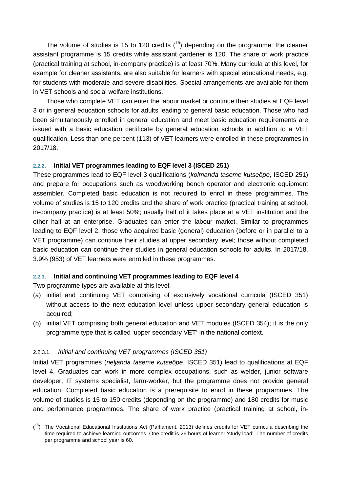The volume of studies is 15 to 120 credits  $(18)$  $(18)$  $(18)$  depending on the programme: the cleaner assistant programme is 15 credits while assistant gardener is 120. The share of work practice (practical training at school, in-company practice) is at least 70%. Many curricula at this level, for example for cleaner assistants, are also suitable for learners with special educational needs, e.g. for students with moderate and severe disabilities. Special arrangements are available for them in VET schools and social welfare institutions.

Those who complete VET can enter the labour market or continue their studies at EQF level 3 or in general education schools for adults leading to general basic education. Those who had been simultaneously enrolled in general education and meet basic education requirements are issued with a basic education certificate by general education schools in addition to a VET qualification. Less than one percent (113) of VET learners were enrolled in these programmes in 2017/18.

#### <span id="page-19-0"></span>**2.2.2. Initial VET programmes leading to EQF level 3 (ISCED 251)**

These programmes lead to EQF level 3 qualifications (*kolmanda taseme kutseõpe*, ISCED 251) and prepare for occupations such as woodworking bench operator and electronic equipment assembler. Completed basic education is not required to enrol in these programmes. The volume of studies is 15 to 120 credits and the share of work practice (practical training at school, in-company practice) is at least 50%; usually half of it takes place at a VET institution and the other half at an enterprise. Graduates can enter the labour market. Similar to programmes leading to EQF level 2, those who acquired basic (general) education (before or in parallel to a VET programme) can continue their studies at upper secondary level; those without completed basic education can continue their studies in general education schools for adults. In 2017/18, 3.9% (953) of VET learners were enrolled in these programmes.

#### <span id="page-19-1"></span>**2.2.3. Initial and continuing VET programmes leading to EQF level 4**

Two programme types are available at this level:

- (a) initial and continuing VET comprising of exclusively vocational curricula (ISCED 351) without access to the next education level unless upper secondary general education is acquired;
- (b) initial VET comprising both general education and VET modules (ISCED 354); it is the only programme type that is called 'upper secondary VET' in the national context.

#### 2.2.3.1. *Initial and continuing VET programmes (ISCED 351)*

Initial VET programmes (*neljanda taseme kutseõpe*, ISCED 351) lead to qualifications at EQF level 4. Graduates can work in more complex occupations, such as welder, junior software developer, IT systems specialist, farm-worker, but the programme does not provide general education. Completed basic education is a prerequisite to enrol in these programmes. The volume of studies is 15 to 150 credits (depending on the programme) and 180 credits for music and performance programmes. The share of work practice (practical training at school, in-

<span id="page-19-2"></span><sup>-</sup>(<sup>18</sup>) The Vocational Educational Institutions Act (Parliament, 2013) defines credits for VET curricula describing the time required to achieve learning outcomes. One credit is 26 hours of learner 'study load'. The number of credits per programme and school year is 60.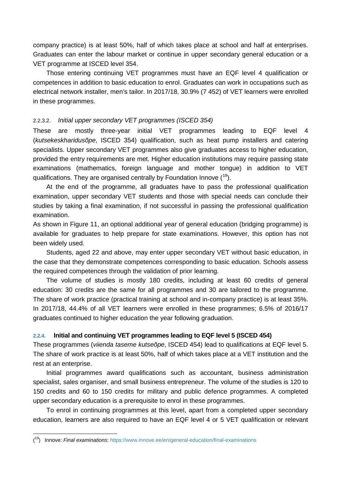company practice) is at least 50%, half of which takes place at school and half at enterprises. Graduates can enter the labour market or continue in upper secondary general education or a VET programme at ISCED level 354.

Those entering continuing VET programmes must have an EQF level 4 qualification or competences in addition to basic education to enrol. Graduates can work in occupations such as electrical network installer, men's tailor. In 2017/18, 30.9% (7 452) of VET learners were enrolled in these programmes.

#### 2.2.3.2. *Initial upper secondary VET programmes (ISCED 354)*

These are mostly three-year initial VET programmes leading to EQF level 4 (*kutsekeskharidusõpe*, ISCED 354) qualification, such as heat pump installers and catering specialists. Upper secondary VET programmes also give graduates access to higher education, provided the entry requirements are met. Higher education institutions may require passing state examinations (mathematics, foreign language and mother tongue) in addition to VET qualifications. They are organised centrally by Foundation Innove (<sup>19</sup>).

At the end of the programme, all graduates have to pass the professional qualification examination, upper secondary VET students and those with special needs can conclude their studies by taking a final examination, if not successful in passing the professional qualification examination.

As shown in Figure 11, an optional additional year of general education (bridging programme) is available for graduates to help prepare for state examinations. However, this option has not been widely used.

Students, aged 22 and above, may enter upper secondary VET without basic education, in the case that they demonstrate competences corresponding to basic education. Schools assess the required competences through the validation of prior learning.

The volume of studies is mostly 180 credits, including at least 60 credits of general education: 30 credits are the same for all programmes and 30 are tailored to the programme. The share of work practice (practical training at school and in-company practice) is at least 35%. In 2017/18, 44.4% of all VET learners were enrolled in these programmes; 6.5% of 2016/17 graduates continued to higher education the year following graduation.

#### <span id="page-20-0"></span>**2.2.4. Initial and continuing VET programmes leading to EQF level 5 (ISCED 454)**

These programmes (*viienda taseme kutseõpe*, ISCED 454) lead to qualifications at EQF level 5. The share of work practice is at least 50%, half of which takes place at a VET institution and the rest at an enterprise.

Initial programmes award qualifications such as accountant, business administration specialist, sales organiser, and small business entrepreneur. The volume of the studies is 120 to 150 credits and 60 to 150 credits for military and public defence programmes. A completed upper secondary education is a prerequisite to enrol in these programmes.

To enrol in continuing programmes at this level, apart from a completed upper secondary education, learners are also required to have an EQF level 4 or 5 VET qualification or relevant

-

<span id="page-20-1"></span><sup>(</sup> 19) Innove: *Final examinations*[: https://www.innove.ee/en/general-education/final-examinations](https://www.innove.ee/en/general-education/final-examinations)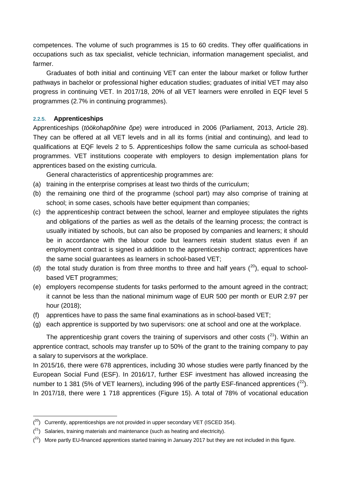competences. The volume of such programmes is 15 to 60 credits. They offer qualifications in occupations such as tax specialist, vehicle technician, information management specialist, and farmer.

Graduates of both initial and continuing VET can enter the labour market or follow further pathways in bachelor or professional higher education studies; graduates of initial VET may also progress in continuing VET. In 2017/18, 20% of all VET learners were enrolled in EQF level 5 programmes (2.7% in continuing programmes).

#### <span id="page-21-0"></span>**2.2.5. Apprenticeships**

-

Apprenticeships (*töökohapõhine õpe*) were introduced in 2006 (Parliament, 2013, Article 28). They can be offered at all VET levels and in all its forms (initial and continuing), and lead to qualifications at EQF levels 2 to 5. Apprenticeships follow the same curricula as school-based programmes. VET institutions cooperate with employers to design implementation plans for apprentices based on the existing curricula.

General characteristics of apprenticeship programmes are:

- (a) training in the enterprise comprises at least two thirds of the curriculum;
- (b) the remaining one third of the programme (school part) may also comprise of training at school; in some cases, schools have better equipment than companies;
- (c) the apprenticeship contract between the school, learner and employee stipulates the rights and obligations of the parties as well as the details of the learning process; the contract is usually initiated by schools, but can also be proposed by companies and learners; it should be in accordance with the labour code but learners retain student status even if an employment contract is signed in addition to the apprenticeship contract; apprentices have the same social guarantees as learners in school-based VET;
- (d) the total study duration is from three months to three and half years  $(^{20})$  $(^{20})$  $(^{20})$ , equal to schoolbased VET programmes;
- (e) employers recompense students for tasks performed to the amount agreed in the contract; it cannot be less than the national minimum wage of EUR 500 per month or EUR 2.97 per hour (2018);
- (f) apprentices have to pass the same final examinations as in school-based VET;
- (g) each apprentice is supported by two supervisors: one at school and one at the workplace.

The apprenticeship grant covers the training of supervisors and other costs  $(2^1)$ . Within an apprentice contract, schools may transfer up to 50% of the grant to the training company to pay a salary to supervisors at the workplace.

In 2015/16, there were 678 apprentices, including 30 whose studies were partly financed by the European Social Fund (ESF). In 2016/17, further ESF investment has allowed increasing the number to 1 381 (5% of VET learners), including 996 of the partly ESF-financed apprentices  $(^{22})$  $(^{22})$  $(^{22})$ . In 2017/18, there were 1 718 apprentices (Figure 15). A total of 78% of vocational education

<span id="page-21-1"></span> $(2^{\circ})$  Currently, apprenticeships are not provided in upper secondary VET (ISCED 354).

<span id="page-21-2"></span> $(2<sup>1</sup>)$  Salaries, training materials and maintenance (such as heating and electricity).

<span id="page-21-3"></span> $(2^2)$  More partly EU-financed apprentices started training in January 2017 but they are not included in this figure.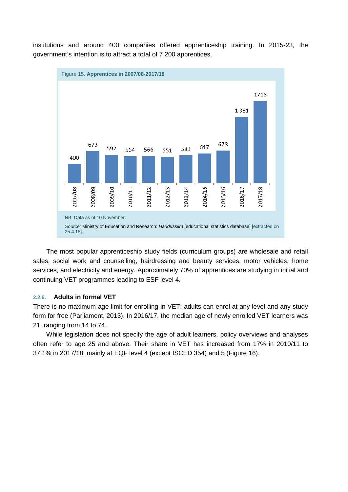<span id="page-22-1"></span>

institutions and around 400 companies offered apprenticeship training. In 2015-23, the government's intention is to attract a total of 7 200 apprentices.

The most popular apprenticeship study fields (curriculum groups) are wholesale and retail sales, social work and counselling, hairdressing and beauty services, motor vehicles, home services, and electricity and energy. Approximately 70% of apprentices are studying in initial and continuing VET programmes leading to ESF level 4.

#### <span id="page-22-0"></span>**2.2.6. Adults in formal VET**

There is no maximum age limit for enrolling in VET: adults can enrol at any level and any study form for free (Parliament, 2013). In 2016/17, the median age of newly enrolled VET learners was 21, ranging from 14 to 74.

While legislation does not specify the age of adult learners, policy overviews and analyses often refer to age 25 and above. Their share in VET has increased from 17% in 2010/11 to 37.1% in 2017/18, mainly at EQF level 4 (except ISCED 354) and 5 (Figure 16).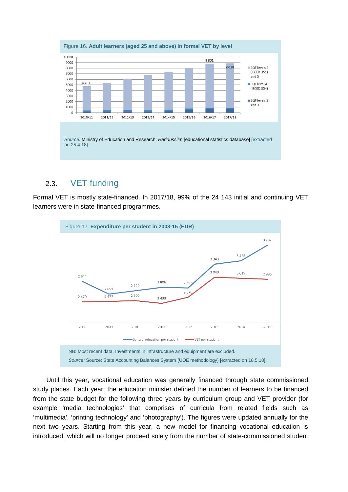<span id="page-23-1"></span>

## <span id="page-23-0"></span>2.3. VET funding

Formal VET is mostly state-financed. In 2017/18, 99% of the 24 143 initial and continuing VET learners were in state-financed programmes.

<span id="page-23-2"></span>

Until this year, vocational education was generally financed through state commissioned study places. Each year, the education minister defined the number of learners to be financed from the state budget for the following three years by curriculum group and VET provider (for example 'media technologies' that comprises of curricula from related fields such as 'multimedia', 'printing technology' and 'photography'). The figures were updated annually for the next two years. Starting from this year, a new model for financing vocational education is introduced, which will no longer proceed solely from the number of state-commissioned student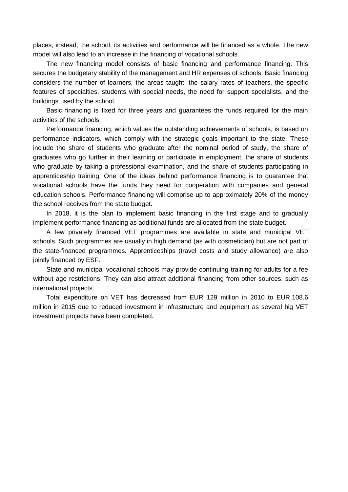places, instead, the school, its activities and performance will be financed as a whole. The new model will also lead to an increase in the financing of vocational schools.

The new financing model consists of basic financing and performance financing. This secures the budgetary stability of the management and HR expenses of schools. Basic financing considers the number of learners, the areas taught, the salary rates of teachers, the specific features of specialties, students with special needs, the need for support specialists, and the buildings used by the school.

Basic financing is fixed for three years and guarantees the funds required for the main activities of the schools.

Performance financing, which values the outstanding achievements of schools, is based on performance indicators, which comply with the strategic goals important to the state. These include the share of students who graduate after the nominal period of study, the share of graduates who go further in their learning or participate in employment, the share of students who graduate by taking a professional examination, and the share of students participating in apprenticeship training. One of the ideas behind performance financing is to guarantee that vocational schools have the funds they need for cooperation with companies and general education schools. Performance financing will comprise up to approximately 20% of the money the school receives from the state budget.

In 2018, it is the plan to implement basic financing in the first stage and to gradually implement performance financing as additional funds are allocated from the state budget.

A few privately financed VET programmes are available in state and municipal VET schools. Such programmes are usually in high demand (as with cosmetician) but are not part of the state-financed programmes. Apprenticeships (travel costs and study allowance) are also jointly financed by ESF.

State and municipal vocational schools may provide continuing training for adults for a fee without age restrictions. They can also attract additional financing from other sources, such as international projects.

Total expenditure on VET has decreased from EUR 129 million in 2010 to EUR 108.6 million in 2015 due to reduced investment in infrastructure and equipment as several big VET investment projects have been completed.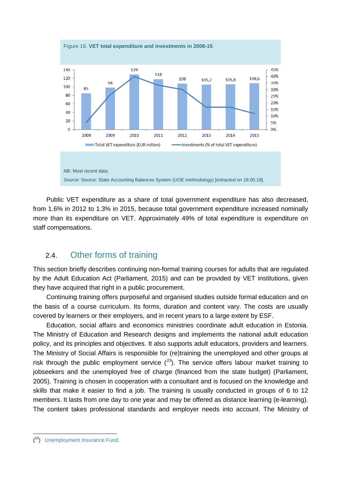<span id="page-25-1"></span>

Public VET expenditure as a share of total government expenditure has also decreased, from 1.6% in 2012 to 1.3% in 2015, because total government expenditure increased nominally more than its expenditure on VET. Approximately 49% of total expenditure is expenditure on staff compensations.

## <span id="page-25-0"></span>2.4. Other forms of training

This section briefly describes continuing non-formal training courses for adults that are regulated by the Adult Education Act (Parliament, 2015) and can be provided by VET institutions, given they have acquired that right in a public procurement.

Continuing training offers purposeful and organised studies outside formal education and on the basis of a course curriculum. Its forms, duration and content vary. The costs are usually covered by learners or their employers, and in recent years to a large extent by ESF.

Education, social affairs and economics ministries coordinate adult education in Estonia. The Ministry of Education and Research designs and implements the national adult education policy, and its principles and objectives. It also supports adult educators, providers and learners. The Ministry of Social Affairs is responsible for (re)training the unemployed and other groups at risk through the public employment service  $(^{23})$  $(^{23})$  $(^{23})$ . The service offers labour market training to jobseekers and the unemployed free of charge (financed from the state budget) (Parliament, 2005). Training is chosen in cooperation with a consultant and is focused on the knowledge and skills that make it easier to find a job. The training is usually conducted in groups of 6 to 12 members. It lasts from one day to one year and may be offered as distance learning (e-learning). The content takes professional standards and employer needs into account. The Ministry of

-

<span id="page-25-2"></span><sup>(&</sup>lt;sup>23</sup>) [Unemployment Insurance Fund.](https://www.tootukassa.ee/)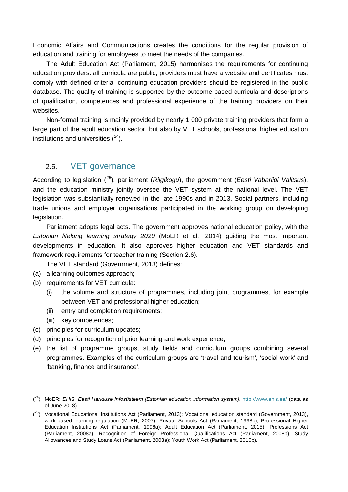Economic Affairs and Communications creates the conditions for the regular provision of education and training for employees to meet the needs of the companies.

The Adult Education Act (Parliament, 2015) harmonises the requirements for continuing education providers: all curricula are public; providers must have a website and certificates must comply with defined criteria; continuing education providers should be registered in the public database. The quality of training is supported by the outcome-based curricula and descriptions of qualification, competences and professional experience of the training providers on their websites.

Non-formal training is mainly provided by nearly 1 000 private training providers that form a large part of the adult education sector, but also by VET schools, professional higher education institutions and universities  $(^{24})$  $(^{24})$  $(^{24})$ .

## <span id="page-26-0"></span>2.5. VET governance

According to legislation ([25](#page-26-2)), parliament (*Riigikogu*), the government (*Eesti Vabariigi Valitsus*), and the education ministry jointly oversee the VET system at the national level. The VET legislation was substantially renewed in the late 1990s and in 2013. Social partners, including trade unions and employer organisations participated in the working group on developing legislation.

Parliament adopts legal acts. The government approves national education policy, with the *Estonian lifelong learning strategy 2020* (MoER et al., 2014) guiding the most important developments in education. It also approves higher education and VET standards and framework requirements for teacher training (Section [2.6\)](#page-27-0).

The VET standard (Government, 2013) defines:

- (a) a learning outcomes approach;
- (b) requirements for VET curricula:
	- (i) the volume and structure of programmes, including joint programmes, for example between VET and professional higher education;
	- (ii) entry and completion requirements;
	- (iii) key competences;
- (c) principles for curriculum updates;
- (d) principles for recognition of prior learning and work experience;
- (e) the list of programme groups, study fields and curriculum groups combining several programmes. Examples of the curriculum groups are 'travel and tourism', 'social work' and 'banking, finance and insurance'.

<span id="page-26-1"></span><sup>-</sup>( 24) MoER: *EHIS. Eesti Hariduse Infosüsteem [Estonian education information system]*.<http://www.ehis.ee/> (data as of June 2018).

<span id="page-26-2"></span> $(25)$  Vocational Educational Institutions Act (Parliament, 2013); Vocational education standard (Government, 2013), work-based learning regulation (MoER, 2007); Private Schools Act (Parliament, 1998b); Professional Higher Education Institutions Act (Parliament, 1998a); Adult Education Act (Parliament, 2015); Professions Act (Parliament, 2008a); Recognition of Foreign Professional Qualifications Act (Parliament, 2008b); Study Allowances and Study Loans Act (Parliament, 2003a); Youth Work Act (Parliament, 2010b).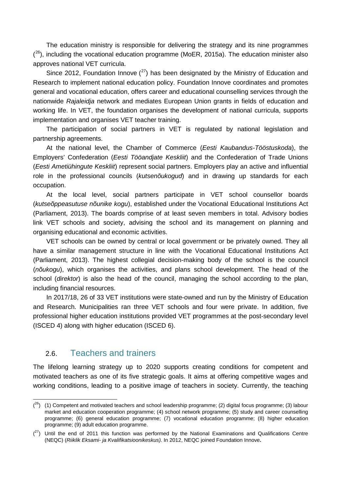The education ministry is responsible for delivering the strategy and its nine programmes  $(26)$  $(26)$ , including the vocational education programme (MoER, 2015a). The education minister also approves national VET curricula.

Since 2012, Foundation Innove  $(27)$  $(27)$  has been designated by the Ministry of Education and Research to implement national education policy. Foundation Innove coordinates and promotes general and vocational education, offers career and educational counselling services through the nationwide *Rajaleidja* network and mediates European Union grants in fields of education and working life. In VET, the foundation organises the development of national curricula, supports implementation and organises VET teacher training.

The participation of social partners in VET is regulated by national legislation and partnership agreements.

At the national level, the Chamber of Commerce (*Eesti Kaubandus-Tööstuskoda*), the Employers' Confederation (*Eesti Tööandjate Keskliit*) and the Confederation of Trade Unions (*Eesti Ametiühingute Keskliit*) represent social partners. Employers play an active and influential role in the professional councils (*kutsenõukogud*) and in drawing up standards for each occupation.

At the local level, social partners participate in VET school counsellor boards (*kutseõppeasutuse nõunike kogu*), established under the Vocational Educational Institutions Act (Parliament, 2013). The boards comprise of at least seven members in total. Advisory bodies link VET schools and society, advising the school and its management on planning and organising educational and economic activities.

VET schools can be owned by central or local government or be privately owned. They all have a similar management structure in line with the Vocational Educational Institutions Act (Parliament, 2013). The highest collegial decision-making body of the school is the council (*nõukogu*), which organises the activities, and plans school development. The head of the school (*direktor*) is also the head of the council, managing the school according to the plan, including financial resources.

In 2017/18, 26 of 33 VET institutions were state-owned and run by the Ministry of Education and Research. Municipalities ran three VET schools and four were private. In addition, five professional higher education institutions provided VET programmes at the post-secondary level (ISCED 4) along with higher education (ISCED 6).

### <span id="page-27-0"></span>2.6. Teachers and trainers

-

The lifelong learning strategy up to 2020 supports creating conditions for competent and motivated teachers as one of its five strategic goals. It aims at offering competitive wages and working conditions, leading to a positive image of teachers in society. Currently, the teaching

<span id="page-27-1"></span> $(2^6)$  (1) Competent and motivated teachers and school leadership programme; (2) digital focus programme; (3) labour market and education cooperation programme; (4) school network programme; (5) study and career counselling programme; (6) general education programme; (7) vocational education programme; (8) higher education programme; (9) adult education programme.

<span id="page-27-2"></span> $(27)$  Until the end of 2011 this function was performed by the National Examinations and Qualifications Centre (NEQC) (*Riiklik Eksami- ja Kvalifikatsioonikeskus).* In 2012, NEQC joined Foundation Innove**.**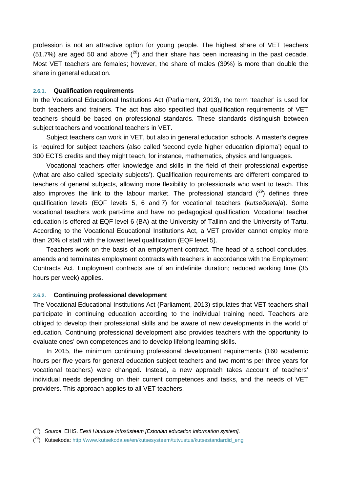profession is not an attractive option for young people. The highest share of VET teachers  $(51.7%)$  are aged 50 and above  $(^{28})$  $(^{28})$  $(^{28})$  and their share has been increasing in the past decade. Most VET teachers are females; however, the share of males (39%) is more than double the share in general education.

#### <span id="page-28-0"></span>**2.6.1. Qualification requirements**

In the Vocational Educational Institutions Act (Parliament, 2013), the term 'teacher' is used for both teachers and trainers. The act has also specified that qualification requirements of VET teachers should be based on professional standards. These standards distinguish between subject teachers and vocational teachers in VET.

Subject teachers can work in VET, but also in general education schools. A master's degree is required for subject teachers (also called 'second cycle higher education diploma') equal to 300 ECTS credits and they might teach, for instance, mathematics, physics and languages.

Vocational teachers offer knowledge and skills in the field of their professional expertise (what are also called 'specialty subjects'). Qualification requirements are different compared to teachers of general subjects, allowing more flexibility to professionals who want to teach. This also improves the link to the labour market. The professional standard  $(29)$  $(29)$  defines three qualification levels (EQF levels 5, 6 and 7) for vocational teachers (*kutseõpetaja*). Some vocational teachers work part-time and have no pedagogical qualification. Vocational teacher education is offered at EQF level 6 (BA) at the University of Tallinn and the University of Tartu. According to the Vocational Educational Institutions Act, a VET provider cannot employ more than 20% of staff with the lowest level qualification (EQF level 5).

Teachers work on the basis of an employment contract. The head of a school concludes, amends and terminates employment contracts with teachers in accordance with the Employment Contracts Act. Employment contracts are of an indefinite duration; reduced working time (35 hours per week) applies.

#### <span id="page-28-1"></span>**2.6.2. Continuing professional development**

-

The Vocational Educational Institutions Act (Parliament, 2013) stipulates that VET teachers shall participate in continuing education according to the individual training need. Teachers are obliged to develop their professional skills and be aware of new developments in the world of education. Continuing professional development also provides teachers with the opportunity to evaluate ones' own competences and to develop lifelong learning skills.

In 2015, the minimum continuing professional development requirements (160 academic hours per five years for general education subject teachers and two months per three years for vocational teachers) were changed. Instead, a new approach takes account of teachers' individual needs depending on their current competences and tasks, and the needs of VET providers. This approach applies to all VET teachers.

<span id="page-28-2"></span><sup>(</sup> 28) *Source*: EHIS. *Eesti Hariduse Infosüsteem [Estonian education information system]*.

<span id="page-28-3"></span><sup>(&</sup>lt;sup>29</sup>) Kutsekoda: [http://www.kutsekoda.ee/en/kutsesysteem/tutvustus/kutsestandardid\\_eng](http://www.kutsekoda.ee/en/kutsesysteem/tutvustus/kutsestandardid_eng)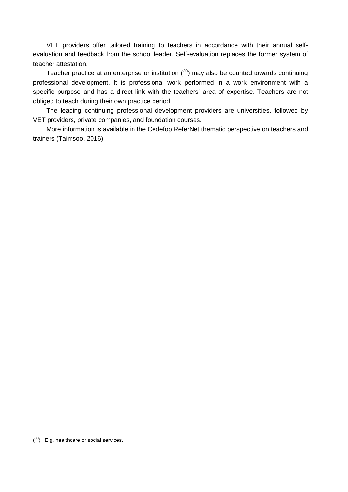VET providers offer tailored training to teachers in accordance with their annual selfevaluation and feedback from the school leader. Self-evaluation replaces the former system of teacher attestation.

Teacher practice at an enterprise or institution  $(30)$  $(30)$  $(30)$  may also be counted towards continuing professional development. It is professional work performed in a work environment with a specific purpose and has a direct link with the teachers' area of expertise. Teachers are not obliged to teach during their own practice period.

The leading continuing professional development providers are universities, followed by VET providers, private companies, and foundation courses.

More information is available in the Cedefop ReferNet thematic perspective on teachers and trainers (Taimsoo, 2016).

-

<span id="page-29-0"></span> $(30)$  E.g. healthcare or social services.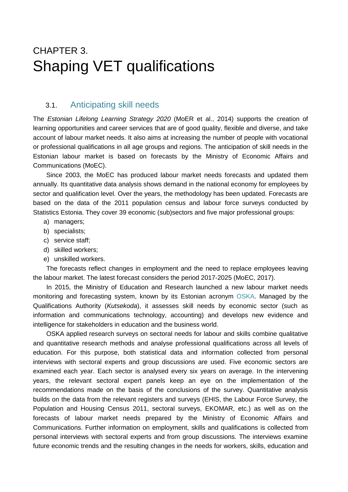## <span id="page-30-0"></span>CHAPTER 3. Shaping VET qualifications

### <span id="page-30-1"></span>3.1. Anticipating skill needs

The *Estonian Lifelong Learning Strategy 2020* (MoER et al., 2014) supports the creation of learning opportunities and career services that are of good quality, flexible and diverse, and take account of labour market needs. It also aims at increasing the number of people with vocational or professional qualifications in all age groups and regions. The anticipation of skill needs in the Estonian labour market is based on forecasts by the Ministry of Economic Affairs and Communications (MoEC).

Since 2003, the MoEC has produced labour market needs forecasts and updated them annually. Its quantitative data analysis shows demand in the national economy for employees by sector and qualification level. Over the years, the methodology has been updated. Forecasts are based on the data of the 2011 population census and labour force surveys conducted by Statistics Estonia. They cover 39 economic (sub)sectors and five major professional groups:

- a) managers;
- b) specialists;
- c) service staff;
- d) skilled workers;
- e) unskilled workers.

The forecasts reflect changes in employment and the need to replace employees leaving the labour market. The latest forecast considers the period 2017-2025 (MoEC, 2017).

In 2015, the Ministry of Education and Research launched a new labour market needs monitoring and forecasting system, known by its Estonian acronym [OSKA.](http://oska.kutsekoda.ee/en) Managed by the Qualifications Authority (*Kutsekoda*), it assesses skill needs by economic sector (such as information and communications technology, accounting) and develops new evidence and intelligence for stakeholders in education and the business world.

OSKA applied research surveys on sectoral needs for labour and skills combine qualitative and quantitative research methods and analyse professional qualifications across all levels of education. For this purpose, both statistical data and information collected from personal interviews with sectoral experts and group discussions are used. Five economic sectors are examined each year. Each sector is analysed every six years on average. In the intervening years, the relevant sectoral expert panels keep an eye on the implementation of the recommendations made on the basis of the conclusions of the survey. Quantitative analysis builds on the data from the relevant registers and surveys (EHIS, the Labour Force Survey, the Population and Housing Census 2011, sectoral surveys, EKOMAR, etc.) as well as on the forecasts of labour market needs prepared by the Ministry of Economic Affairs and Communications. Further information on employment, skills and qualifications is collected from personal interviews with sectoral experts and from group discussions. The interviews examine future economic trends and the resulting changes in the needs for workers, skills, education and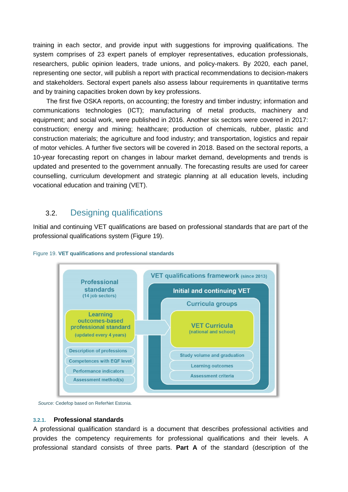training in each sector, and provide input with suggestions for improving qualifications. The system comprises of 23 expert panels of employer representatives, education professionals, researchers, public opinion leaders, trade unions, and policy-makers. By 2020, each panel, representing one sector, will publish a report with practical recommendations to decision-makers and stakeholders. Sectoral expert panels also assess labour requirements in quantitative terms and by training capacities broken down by key professions.

The first five OSKA reports, on accounting; the forestry and timber industry; information and communications technologies (ICT); manufacturing of metal products, machinery and equipment; and social work, were published in 2016. Another six sectors were covered in 2017: construction; energy and mining; healthcare; production of chemicals, rubber, plastic and construction materials; the agriculture and food industry; and transportation, logistics and repair of motor vehicles. A further five sectors will be covered in 2018. Based on the sectoral reports, a 10-year forecasting report on changes in labour market demand, developments and trends is updated and presented to the government annually. The forecasting results are used for career counselling, curriculum development and strategic planning at all education levels, including vocational education and training (VET).

## <span id="page-31-0"></span>3.2. Designing qualifications

Initial and continuing VET qualifications are based on professional standards that are part of the professional qualifications system [\(Figure 19\)](#page-31-2).



<span id="page-31-2"></span>

<span id="page-31-1"></span>*Source:* Cedefop based on ReferNet Estonia.

#### **3.2.1. Professional standards**

A professional qualification standard is a document that describes professional activities and provides the competency requirements for professional qualifications and their levels. A professional standard consists of three parts. **Part A** of the standard (description of the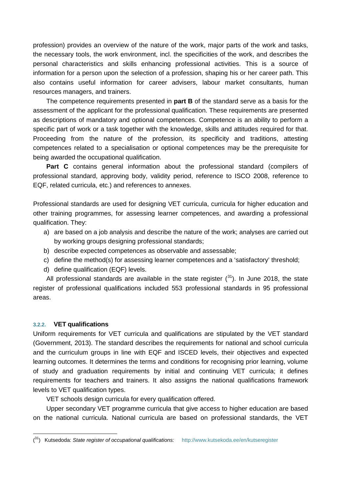profession) provides an overview of the nature of the work, major parts of the work and tasks, the necessary tools, the work environment, incl. the specificities of the work, and describes the personal characteristics and skills enhancing professional activities. This is a source of information for a person upon the selection of a profession, shaping his or her career path. This also contains useful information for career advisers, labour market consultants, human resources managers, and trainers.

The competence requirements presented in **part B** of the standard serve as a basis for the assessment of the applicant for the professional qualification. These requirements are presented as descriptions of mandatory and optional competences. Competence is an ability to perform a specific part of work or a task together with the knowledge, skills and attitudes required for that. Proceeding from the nature of the profession, its specificity and traditions, attesting competences related to a specialisation or optional competences may be the prerequisite for being awarded the occupational qualification.

**Part C** contains general information about the professional standard (compilers of professional standard, approving body, validity period, reference to ISCO 2008, reference to EQF, related curricula, etc.) and references to annexes.

Professional standards are used for designing VET curricula, curricula for higher education and other training programmes, for assessing learner competences, and awarding a professional qualification. They:

- a) are based on a job analysis and describe the nature of the work; analyses are carried out by working groups designing professional standards;
- b) describe expected competences as observable and assessable;
- c) define the method(s) for assessing learner competences and a 'satisfactory' threshold;
- d) define qualification (EQF) levels.

All professional standards are available in the state register  $(31)$  $(31)$  $(31)$ . In June 2018, the state register of professional qualifications included 553 professional standards in 95 professional areas.

#### <span id="page-32-0"></span>**3.2.2. VET qualifications**

-

Uniform requirements for VET curricula and qualifications are stipulated by the VET standard (Government, 2013). The standard describes the requirements for national and school curricula and the curriculum groups in line with EQF and ISCED levels, their objectives and expected learning outcomes. It determines the terms and conditions for recognising prior learning, volume of study and graduation requirements by initial and continuing VET curricula; it defines requirements for teachers and trainers. It also assigns the national qualifications framework levels to VET qualification types.

VET schools design curricula for every qualification offered.

Upper secondary VET programme curricula that give access to higher education are based on the national curricula. National curricula are based on professional standards, the VET

<span id="page-32-1"></span><sup>(</sup> 31) Kutsedoda: *State register of occupational qualifications:* <http://www.kutsekoda.ee/en/kutseregister>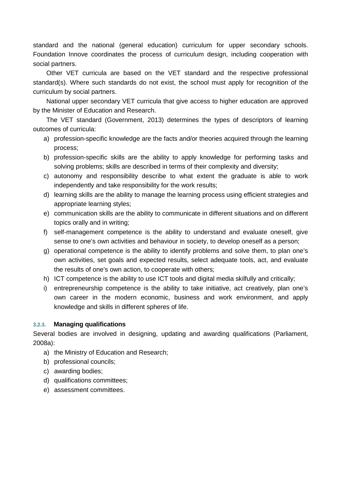standard and the national (general education) curriculum for upper secondary schools. Foundation Innove coordinates the process of curriculum design, including cooperation with social partners.

Other VET curricula are based on the VET standard and the respective professional standard(s). Where such standards do not exist, the school must apply for recognition of the curriculum by social partners.

National upper secondary VET curricula that give access to higher education are approved by the Minister of Education and Research.

The VET standard (Government, 2013) determines the types of descriptors of learning outcomes of curricula:

- a) profession-specific knowledge are the facts and/or theories acquired through the learning process;
- b) profession-specific skills are the ability to apply knowledge for performing tasks and solving problems; skills are described in terms of their complexity and diversity;
- c) autonomy and responsibility describe to what extent the graduate is able to work independently and take responsibility for the work results;
- d) learning skills are the ability to manage the learning process using efficient strategies and appropriate learning styles;
- e) communication skills are the ability to communicate in different situations and on different topics orally and in writing;
- f) self-management competence is the ability to understand and evaluate oneself, give sense to one's own activities and behaviour in society, to develop oneself as a person;
- g) operational competence is the ability to identify problems and solve them, to plan one's own activities, set goals and expected results, select adequate tools, act, and evaluate the results of one's own action, to cooperate with others;
- h) ICT competence is the ability to use ICT tools and digital media skilfully and critically;
- i) entrepreneurship competence is the ability to take initiative, act creatively, plan one's own career in the modern economic, business and work environment, and apply knowledge and skills in different spheres of life.

#### <span id="page-33-0"></span>**3.2.3. Managing qualifications**

Several bodies are involved in designing, updating and awarding qualifications (Parliament, 2008a):

- a) the Ministry of Education and Research;
- b) professional councils;
- c) awarding bodies;
- d) qualifications committees;
- <span id="page-33-1"></span>e) assessment committees.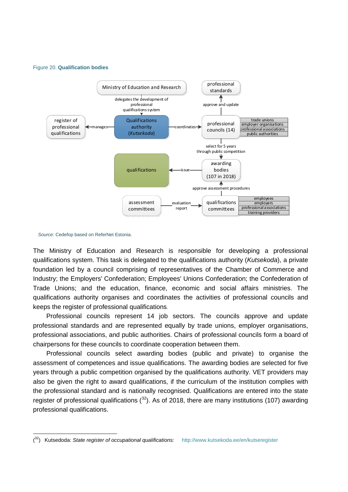#### Figure 20. **Qualification bodies**



*Source:* Cedefop based on ReferNet Estonia.

-

The Ministry of Education and Research is responsible for developing a professional qualifications system. This task is delegated to the qualifications authority (*Kutsekoda*), a private foundation led by a council comprising of representatives of the Chamber of Commerce and Industry; the Employers' Confederation; Employees' Unions Confederation; the Confederation of Trade Unions; and the education, finance, economic and social affairs ministries. The qualifications authority organises and coordinates the activities of professional councils and keeps the register of professional qualifications.

Professional councils represent 14 job sectors. The councils approve and update professional standards and are represented equally by trade unions, employer organisations, professional associations, and public authorities. Chairs of professional councils form a board of chairpersons for these councils to coordinate cooperation between them.

Professional councils select awarding bodies (public and private) to organise the assessment of competences and issue qualifications. The awarding bodies are selected for five years through a public competition organised by the qualifications authority. VET providers may also be given the right to award qualifications, if the curriculum of the institution complies with the professional standard and is nationally recognised. Qualifications are entered into the state [register of professional qualifications](http://www.kutsekoda.ee/et/kutseregister/kutseandjad)  $(^{32})$  $(^{32})$  $(^{32})$ . As of 2018, there are many institutions (107) awarding professional qualifications.

<span id="page-34-0"></span><sup>(</sup> 32) Kutsedoda: *State register of occupational qualifications:* <http://www.kutsekoda.ee/en/kutseregister>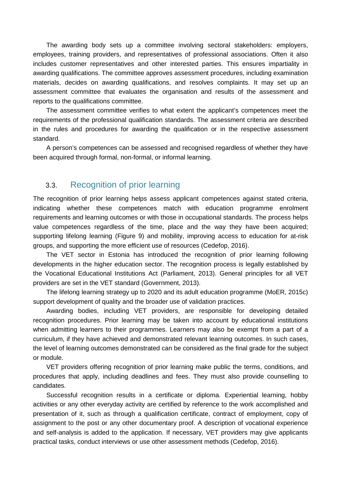The awarding body sets up a committee involving sectoral stakeholders: employers, employees, training providers, and representatives of professional associations. Often it also includes customer representatives and other interested parties. This ensures impartiality in awarding qualifications. The committee approves assessment procedures, including examination materials, decides on awarding qualifications, and resolves complaints. It may set up an assessment committee that evaluates the organisation and results of the assessment and reports to the qualifications committee.

The assessment committee verifies to what extent the applicant's competences meet the requirements of the professional qualification standards. The assessment criteria are described in the rules and procedures for awarding the qualification or in the respective assessment standard.

<span id="page-35-0"></span>A person's competences can be assessed and recognised regardless of whether they have been acquired through formal, non-formal, or informal learning.

## 3.3. Recognition of prior learning

The recognition of prior learning helps assess applicant competences against stated criteria, indicating whether these competences match with education programme enrolment requirements and learning outcomes or with those in occupational standards. The process helps value competences regardless of the time, place and the way they have been acquired; supporting lifelong learning (Figure 9) and mobility, improving access to education for at-risk groups, and supporting the more efficient use of resources (Cedefop, 2016).

The VET sector in Estonia has introduced the recognition of prior learning following developments in the higher education sector. The recognition process is legally established by the Vocational Educational Institutions Act (Parliament, 2013). General principles for all VET providers are set in the VET standard (Government, 2013).

The lifelong learning strategy up to 2020 and its adult education programme (MoER, 2015c) support development of quality and the broader use of validation practices.

Awarding bodies, including VET providers, are responsible for developing detailed recognition procedures. Prior learning may be taken into account by educational institutions when admitting learners to their programmes. Learners may also be exempt from a part of a curriculum, if they have achieved and demonstrated relevant learning outcomes. In such cases, the level of learning outcomes demonstrated can be considered as the final grade for the subject or module.

VET providers offering recognition of prior learning make public the terms, conditions, and procedures that apply, including deadlines and fees. They must also provide counselling to candidates.

Successful recognition results in a certificate or diploma. Experiential learning, hobby activities or any other everyday activity are certified by reference to the work accomplished and presentation of it, such as through a qualification certificate, contract of employment, copy of assignment to the post or any other documentary proof. A description of vocational experience and self-analysis is added to the application. If necessary, VET providers may give applicants practical tasks, conduct interviews or use other assessment methods (Cedefop, 2016).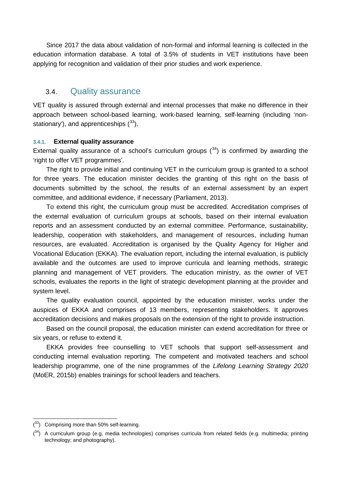Since 2017 the data about validation of non-formal and informal learning is collected in the education information database. A total of 3.5% of students in VET institutions have been applying for recognition and validation of their prior studies and work experience.

### <span id="page-36-0"></span>3.4. Quality assurance

VET quality is assured through external and internal processes that make no difference in their approach between school-based learning, work-based learning, self-learning (including 'nonstationary'), and apprenticeships  $(^{33})$ .

#### <span id="page-36-1"></span>**3.4.1. External quality assurance**

External quality assurance of a school's curriculum groups  $(34)$  $(34)$  is confirmed by awarding the 'right to offer VET programmes'.

The right to provide initial and continuing VET in the curriculum group is granted to a school for three years. The education minister decides the granting of this right on the basis of documents submitted by the school, the results of an external assessment by an expert committee, and additional evidence, if necessary (Parliament, 2013).

To extend this right, the curriculum group must be accredited. Accreditation comprises of the external evaluation of curriculum groups at schools, based on their internal evaluation reports and an assessment conducted by an external committee. Performance, sustainability, leadership, cooperation with stakeholders, and management of resources, including human resources, are evaluated. Accreditation is organised by the Quality Agency for Higher and Vocational Education (EKKA). The evaluation report, including the internal evaluation, is publicly available and the outcomes are used to improve curricula and learning methods, strategic planning and management of VET providers. The education ministry, as the owner of VET schools, evaluates the reports in the light of strategic development planning at the provider and system level.

The quality evaluation council, appointed by the education minister, works under the auspices of EKKA and comprises of 13 members, representing stakeholders. It approves accreditation decisions and makes proposals on the extension of the right to provide instruction.

Based on the council proposal, the education minister can extend accreditation for three or six years, or refuse to extend it.

EKKA provides free counselling to VET schools that support self-assessment and conducting internal evaluation reporting. The competent and motivated teachers and school leadership programme, one of the nine programmes of the *Lifelong Learning Strategy 2020*  (MoER, 2015b) enables trainings for school leaders and teachers.

-

<span id="page-36-2"></span> $(33)$  Comprising more than 50% self-learning.

<span id="page-36-3"></span> $(34)$  A curriculum group (e.g. media technologies) comprises curricula from related fields (e.g. multimedia; printing technology; and photography).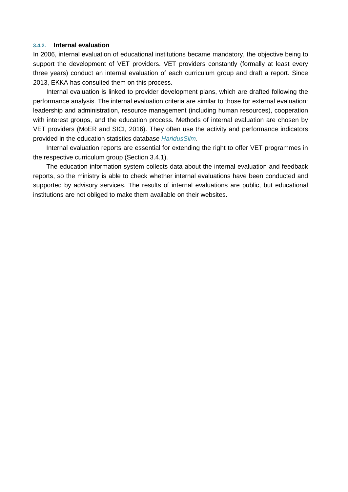#### <span id="page-37-0"></span>**3.4.2. Internal evaluation**

In 2006, internal evaluation of educational institutions became mandatory, the objective being to support the development of VET providers. VET providers constantly (formally at least every three years) conduct an internal evaluation of each curriculum group and draft a report. Since 2013, EKKA has consulted them on this process.

Internal evaluation is linked to provider development plans, which are drafted following the performance analysis. The internal evaluation criteria are similar to those for external evaluation: leadership and administration, resource management (including human resources), cooperation with interest groups, and the education process. Methods of internal evaluation are chosen by VET providers (MoER and SICI, 2016). They often use the activity and performance indicators provided in the education statistics database *[HaridusSilm](http://www.haridussilm.ee/)*.

Internal evaluation reports are essential for extending the right to offer VET programmes in the respective curriculum group (Section 3.4.1).

The education information system collects data about the internal evaluation and feedback reports, so the ministry is able to check whether internal evaluations have been conducted and supported by advisory services. The results of internal evaluations are public, but educational institutions are not obliged to make them available on their websites.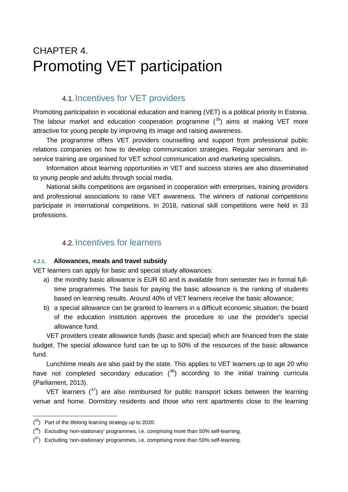## <span id="page-38-1"></span><span id="page-38-0"></span>CHAPTER 4. Promoting VET participation

## 4.1. Incentives for VET providers

Promoting participation in vocational education and training (VET) is a political priority in Estonia. The labour market and education cooperation programme  $(35)$  $(35)$  aims at making VET more attractive for young people by improving its image and raising awareness.

The programme offers VET providers counselling and support from professional public relations companies on how to develop communication strategies. Regular seminars and inservice training are organised for VET school communication and marketing specialists.

Information about learning opportunities in VET and success stories are also disseminated to young people and adults through social media.

National skills competitions are organised in cooperation with enterprises, training providers and professional associations to raise VET awareness. The winners of national competitions participate in international competitions. In 2018, national skill competitions were held in 33 professions.

## <span id="page-38-2"></span>4.2. Incentives for learners

#### <span id="page-38-3"></span>**4.2.1. Allowances, meals and travel subsidy**

VET learners can apply for basic and special study allowances:

- a) the monthly basic allowance is EUR 60 and is available from semester two in formal fulltime programmes. The basis for paying the basic allowance is the ranking of students based on learning results. Around 40% of VET learners receive the basic allowance;
- b) a special allowance can be granted to learners in a difficult economic situation; the board of the education institution approves the procedure to use the provider's special allowance fund.

VET providers create allowance funds (basic and special) which are financed from the state budget. The special allowance fund can be up to 50% of the resources of the basic allowance fund.

Lunchtime meals are also paid by the state. This applies to VET learners up to age 20 who have not completed secondary education  $(36)$  $(36)$  according to the initial training curricula (Parliament, 2013).

VET learners  $(37)$  $(37)$  are also reimbursed for public transport tickets between the learning venue and home. Dormitory residents and those who rent apartments close to the learning

<span id="page-38-4"></span><sup>-</sup> $(35)$  Part of the lifelong learning strategy up to 2020.

<span id="page-38-5"></span> $(36)$  Excluding 'non-stationary' programmes, i.e. comprising more than 50% self-learning.

<span id="page-38-6"></span> $(37)$  Excluding 'non-stationary' programmes, i.e. comprising more than 50% self-learning.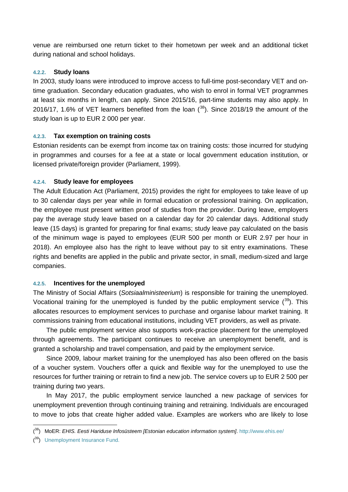venue are reimbursed one return ticket to their hometown per week and an additional ticket during national and school holidays.

#### <span id="page-39-0"></span>**4.2.2. Study loans**

In 2003, study loans were introduced to improve access to full-time post-secondary VET and ontime graduation. Secondary education graduates, who wish to enrol in formal VET programmes at least six months in length, can apply. Since 2015/16, part-time students may also apply. In 2016/17, 1.6% of VET learners benefited from the loan  $(^{38})$  $(^{38})$  $(^{38})$ . Since 2018/19 the amount of the study loan is up to EUR 2 000 per year.

#### <span id="page-39-1"></span>**4.2.3. Tax exemption on training costs**

Estonian residents can be exempt from income tax on training costs: those incurred for studying in programmes and courses for a fee at a state or local government education institution, or licensed private/foreign provider (Parliament, 1999).

#### <span id="page-39-2"></span>**4.2.4. Study leave for employees**

The Adult Education Act (Parliament, 2015) provides the right for employees to take leave of up to 30 calendar days per year while in formal education or professional training. On application, the employee must present written proof of studies from the provider. During leave, employers pay the average study leave based on a calendar day for 20 calendar days. Additional study leave (15 days) is granted for preparing for final exams; study leave pay calculated on the basis of the minimum wage is payed to employees (EUR 500 per month or EUR 2.97 per hour in 2018). An employee also has the right to leave without pay to sit entry examinations. These rights and benefits are applied in the public and private sector, in small, medium-sized and large companies.

#### <span id="page-39-3"></span>**4.2.5. Incentives for the unemployed**

The Ministry of Social Affairs (*Sotsiaalministeerium*) is responsible for training the unemployed. Vocational training for the unemployed is funded by the public employment service  $(^{39})$ . This allocates resources to employment services to purchase and organise labour market training. It commissions training from educational institutions, including VET providers, as well as private.

The public employment service also supports work-practice placement for the unemployed through agreements. The participant continues to receive an unemployment benefit, and is granted a scholarship and travel compensation, and paid by the employment service.

Since 2009, labour market training for the unemployed has also been offered on the basis of a voucher system. Vouchers offer a quick and flexible way for the unemployed to use the resources for further training or retrain to find a new job. The service covers up to EUR 2 500 per training during two years.

In May 2017, the public employment service launched a new package of services for unemployment prevention through continuing training and retraining. Individuals are encouraged to move to jobs that create higher added value. Examples are workers who are likely to lose

<span id="page-39-4"></span><sup>-</sup>( 38) MoER: *EHIS. Eesti Hariduse Infosüsteem [Estonian education information system]*[. http://www.ehis.ee/](http://www.ehis.ee/)

<span id="page-39-5"></span><sup>(&</sup>lt;sup>39</sup>) [Unemployment Insurance Fund.](https://www.tootukassa.ee/)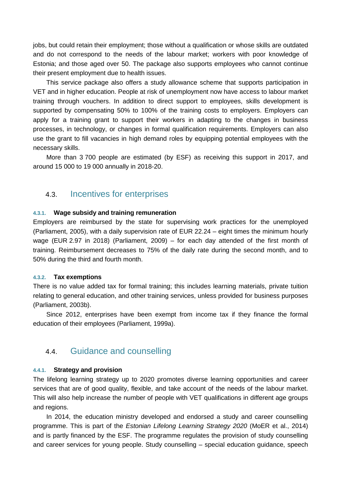jobs, but could retain their employment; those without a qualification or whose skills are outdated and do not correspond to the needs of the labour market; workers with poor knowledge of Estonia; and those aged over 50. The package also supports employees who cannot continue their present employment due to health issues.

This service package also offers a study allowance scheme that supports participation in VET and in higher education. People at risk of unemployment now have access to labour market training through vouchers. In addition to direct support to employees, skills development is supported by compensating 50% to 100% of the training costs to employers. Employers can apply for a training grant to support their workers in adapting to the changes in business processes, in technology, or changes in formal qualification requirements. Employers can also use the grant to fill vacancies in high demand roles by equipping potential employees with the necessary skills.

<span id="page-40-0"></span>More than 3 700 people are estimated (by ESF) as receiving this support in 2017, and around 15 000 to 19 000 annually in 2018-20.

### 4.3. Incentives for enterprises

#### <span id="page-40-1"></span>**4.3.1. Wage subsidy and training remuneration**

Employers are reimbursed by the state for supervising work practices for the unemployed (Parliament, 2005), with a daily supervision rate of EUR 22.24 – eight times the minimum hourly wage (EUR 2.97 in 2018) (Parliament, 2009) – for each day attended of the first month of training. Reimbursement decreases to 75% of the daily rate during the second month, and to 50% during the third and fourth month.

#### <span id="page-40-2"></span>**4.3.2. Tax exemptions**

There is no value added tax for formal training; this includes learning materials, private tuition relating to general education, and other training services, unless provided for business purposes (Parliament, 2003b).

<span id="page-40-3"></span>Since 2012, enterprises have been exempt from income tax if they finance the formal education of their employees (Parliament, 1999a).

### 4.4. Guidance and counselling

#### <span id="page-40-4"></span>**4.4.1. Strategy and provision**

The lifelong learning strategy up to 2020 promotes diverse learning opportunities and career services that are of good quality, flexible, and take account of the needs of the labour market. This will also help increase the number of people with VET qualifications in different age groups and regions.

In 2014, the education ministry developed and endorsed a study and career counselling programme. This is part of the *Estonian Lifelong Learning Strategy 2020* (MoER et al., 2014) and is partly financed by the ESF. The programme regulates the provision of study counselling and career services for young people. Study counselling – special education guidance, speech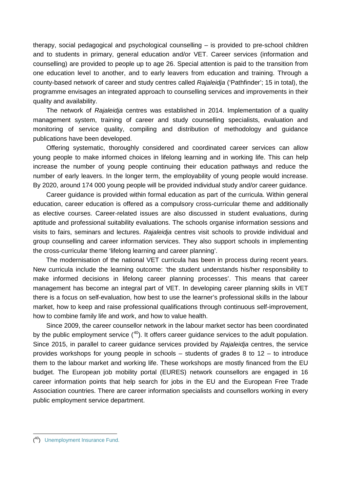therapy, social pedagogical and psychological counselling – is provided to pre-school children and to students in primary, general education and/or VET. Career services (information and counselling) are provided to people up to age 26. Special attention is paid to the transition from one education level to another, and to early leavers from education and training. Through a county-based network of career and study centres called *Rajaleidja* ('Pathfinder'; 15 in total), the programme envisages an integrated approach to counselling services and improvements in their quality and availability.

The network of *Rajaleidja* centres was established in 2014. Implementation of a quality management system, training of career and study counselling specialists, evaluation and monitoring of service quality, compiling and distribution of methodology and guidance publications have been developed.

Offering systematic, thoroughly considered and coordinated career services can allow young people to make informed choices in lifelong learning and in working life. This can help increase the number of young people continuing their education pathways and reduce the number of early leavers. In the longer term, the employability of young people would increase. By 2020, around 174 000 young people will be provided individual study and/or career guidance.

Career guidance is provided within formal education as part of the curricula. Within general education, career education is offered as a compulsory cross-curricular theme and additionally as elective courses. Career-related issues are also discussed in student evaluations, during aptitude and professional suitability evaluations. The schools organise information sessions and visits to fairs, seminars and lectures. *Rajaleidja* centres visit schools to provide individual and group counselling and career information services. They also support schools in implementing the cross-curricular theme 'lifelong learning and career planning'.

The modernisation of the national VET curricula has been in process during recent years. New curricula include the learning outcome: 'the student understands his/her responsibility to make informed decisions in lifelong career planning processes'. This means that career management has become an integral part of VET. In developing career planning skills in VET there is a focus on self-evaluation, how best to use the learner's professional skills in the labour market, how to keep and raise professional qualifications through continuous self-improvement, how to combine family life and work, and how to value health.

Since 2009, the career counsellor network in the labour market sector has been coordinated by the public employment service  $(40)$  $(40)$ . It offers career guidance services to the adult population. Since 2015, in parallel to career guidance services provided by *Rajaleidja* centres, the service provides workshops for young people in schools – students of grades 8 to 12 – to introduce them to the labour market and working life. These workshops are mostly financed from the EU budget. The European job mobility portal (EURES) network counsellors are engaged in 16 career information points that help search for jobs in the EU and the European Free Trade Association countries. There are career information specialists and counsellors working in every public employment service department.

-

<span id="page-41-0"></span><sup>(&</sup>lt;sup>40</sup>) [Unemployment Insurance Fund.](https://www.tootukassa.ee/)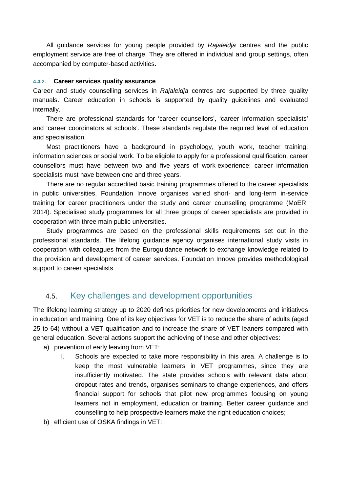All guidance services for young people provided by *Rajaleidja* centres and the public employment service are free of charge. They are offered in individual and group settings, often accompanied by computer-based activities.

#### <span id="page-42-0"></span>**4.4.2. Career services quality assurance**

Career and study counselling services in *Rajaleidja* centres are supported by three quality manuals. Career education in schools is supported by quality guidelines and evaluated internally.

There are professional standards for 'career counsellors', 'career information specialists' and 'career coordinators at schools'. These standards regulate the required level of education and specialisation.

Most practitioners have a background in psychology, youth work, teacher training, information sciences or social work. To be eligible to apply for a professional qualification, career counsellors must have between two and five years of work-experience; career information specialists must have between one and three years.

There are no regular accredited basic training programmes offered to the career specialists in public universities. Foundation Innove organises varied short- and long-term in-service training for career practitioners under the study and career counselling programme (MoER, 2014). Specialised study programmes for all three groups of career specialists are provided in cooperation with three main public universities.

Study programmes are based on the professional skills requirements set out in the professional standards. The lifelong guidance agency organises international study visits in cooperation with colleagues from the Euroguidance network to exchange knowledge related to the provision and development of career services. Foundation Innove provides methodological support to career specialists.

## <span id="page-42-1"></span>4.5. Key challenges and development opportunities

The lifelong learning strategy up to 2020 defines priorities for new developments and initiatives in education and training. One of its key objectives for VET is to reduce the share of adults (aged 25 to 64) without a VET qualification and to increase the share of VET leaners compared with general education. Several actions support the achieving of these and other objectives:

a) prevention of early leaving from VET:

- I. Schools are expected to take more responsibility in this area. A challenge is to keep the most vulnerable learners in VET programmes, since they are insufficiently motivated. The state provides schools with relevant data about dropout rates and trends, organises seminars to change experiences, and offers financial support for schools that pilot new programmes focusing on young learners not in employment, education or training. Better career guidance and counselling to help prospective learners make the right education choices;
- b) efficient use of OSKA findings in VET: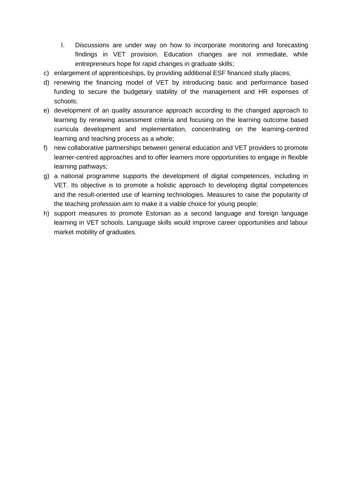- I. Discussions are under way on how to incorporate monitoring and forecasting findings in VET provision. Education changes are not immediate, while entrepreneurs hope for rapid changes in graduate skills;
- c) enlargement of apprenticeships, by providing additional ESF financed study places;
- d) renewing the financing model of VET by introducing basic and performance based funding to secure the budgetary stability of the management and HR expenses of schools;
- e) development of an quality assurance approach according to the changed approach to learning by renewing assessment criteria and focusing on the learning outcome based curricula development and implementation, concentrating on the learning-centred learning and teaching process as a whole;
- f) new collaborative partnerships between general education and VET providers to promote learner-centred approaches and to offer learners more opportunities to engage in flexible learning pathways;
- g) a national programme supports the development of digital competences, including in VET. Its objective is to promote a holistic approach to developing digital competences and the result-oriented use of learning technologies. Measures to raise the popularity of the teaching profession aim to make it a viable choice for young people;
- h) support measures to promote Estonian as a second language and foreign language learning in VET schools. Language skills would improve career opportunities and labour market mobility of graduates.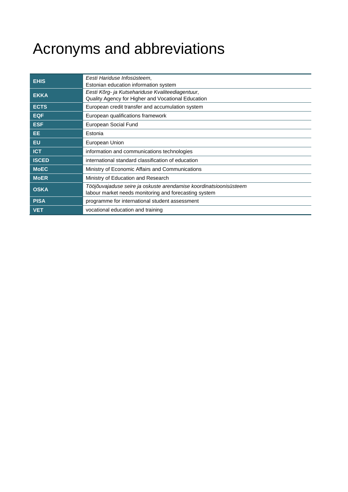# <span id="page-44-0"></span>Acronyms and abbreviations

| <b>EHIS</b>  | Eesti Hariduse Infosüsteem,                                       |
|--------------|-------------------------------------------------------------------|
|              | Estonian education information system                             |
| <b>EKKA</b>  | Eesti Kõrg- ja Kutsehariduse Kvaliteediagentuur,                  |
|              | Quality Agency for Higher and Vocational Education                |
| <b>ECTS</b>  | European credit transfer and accumulation system                  |
| <b>EQF</b>   | European qualifications framework                                 |
| <b>ESF</b>   | European Social Fund                                              |
| EE.          | Estonia                                                           |
| <b>EU</b>    | European Union                                                    |
| <b>ICT</b>   | information and communications technologies                       |
| <b>ISCED</b> | international standard classification of education                |
| <b>MoEC</b>  | Ministry of Economic Affairs and Communications                   |
| <b>MoER</b>  | Ministry of Education and Research                                |
|              | Tööjõuvajaduse seire ja oskuste arendamise koordinatsioonisüsteem |
| <b>OSKA</b>  | labour market needs monitoring and forecasting system             |
| <b>PISA</b>  | programme for international student assessment                    |
| <b>VET</b>   | vocational education and training                                 |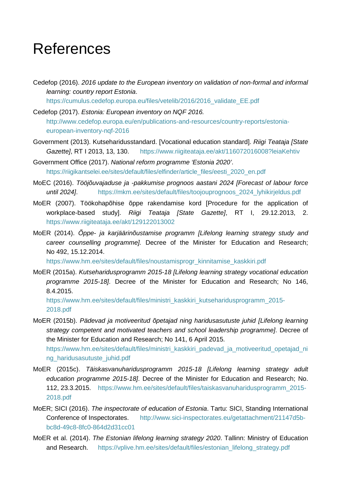## <span id="page-45-0"></span>References

Cedefop (2016). *2016 update to the European inventory on validation of non-formal and informal learning: country report Estonia*.

[https://cumulus.cedefop.europa.eu/files/vetelib/2016/2016\\_validate\\_EE.pdf](https://cumulus.cedefop.europa.eu/files/vetelib/2016/2016_validate_EE.pdf)

- Cedefop (2017). *Estonia: European inventory on NQF 2016.* [http://www.cedefop.europa.eu/en/publications-and-resources/country-reports/estonia](http://www.cedefop.europa.eu/en/publications-and-resources/country-reports/estonia-european-inventory-nqf-2016)[european-inventory-nqf-2016](http://www.cedefop.europa.eu/en/publications-and-resources/country-reports/estonia-european-inventory-nqf-2016)
- Government (2013). Kutseharidusstandard. [Vocational education standard]. *Riigi Teataja [State Gazette]*, RT I 2013, 13, 130. <https://www.riigiteataja.ee/akt/116072016008?leiaKehtiv>

Government Office (2017). *National reform programme 'Estonia 2020'*. https://riigikantselei.ee/sites/default/files/elfinder/article\_files/eesti\_2020\_en.pdf

- MoEC (2016). *Tööjõuvajaduse ja -pakkumise prognoos aastani 2024 [Forecast of labour force until 2024]*. [https://mkm.ee/sites/default/files/toojouprognoos\\_2024\\_lyhikirjeldus.pdf](https://mkm.ee/sites/default/files/toojouprognoos_2024_lyhikirjeldus.pdf)
- MoER (2007). Töökohapõhise õppe rakendamise kord [Procedure for the application of workplace-based study]. *Riigi Teataja [State Gazette]*, RT I, 29.12.2013, 2. <https://www.riigiteataja.ee/akt/129122013002>
- MoER (2014). *Õppe- ja karjäärinõustamise programm [Lifelong learning strategy study and career counselling programme].* Decree of the Minister for Education and Research; No 492, 15.12.2014.

[https://www.hm.ee/sites/default/files/noustamisprogr\\_kinnitamise\\_kaskkiri.pdf](https://www.hm.ee/sites/default/files/noustamisprogr_kinnitamise_kaskkiri.pdf)

MoER (2015a). *Kutseharidusprogramm 2015-18 [Lifelong learning strategy vocational education programme 2015-18]*. Decree of the Minister for Education and Research; No 146, 8.4.2015.

[https://www.hm.ee/sites/default/files/ministri\\_kaskkiri\\_kutseharidusprogramm\\_2015-](https://www.hm.ee/sites/default/files/ministri_kaskkiri_kutseharidusprogramm_2015-2018.pdf) [2018.pdf](https://www.hm.ee/sites/default/files/ministri_kaskkiri_kutseharidusprogramm_2015-2018.pdf)

- MoER (2015b). *Pädevad ja motiveeritud õpetajad ning haridusasutuste juhid [Lifelong learning strategy competent and motivated teachers and school leadership programme]*. Decree of the Minister for Education and Research; No 141, 6 April 2015. [https://www.hm.ee/sites/default/files/ministri\\_kaskkiri\\_padevad\\_ja\\_motiveeritud\\_opetajad\\_ni](https://www.hm.ee/sites/default/files/ministri_kaskkiri_padevad_ja_motiveeritud_opetajad_ning_haridusasutuste_juhid.pdf) [ng\\_haridusasutuste\\_juhid.pdf](https://www.hm.ee/sites/default/files/ministri_kaskkiri_padevad_ja_motiveeritud_opetajad_ning_haridusasutuste_juhid.pdf)
- MoER (2015c). *Täiskasvanuharidusprogramm 2015-18 [Lifelong learning strategy adult education programme 2015-18]*. Decree of the Minister for Education and Research; No. 112, 23.3.2015. [https://www.hm.ee/sites/default/files/taiskasvanuharidusprogramm\\_2015-](https://www.hm.ee/sites/default/files/taiskasvanuharidusprogramm_2015-2018.pdf) [2018.pdf](https://www.hm.ee/sites/default/files/taiskasvanuharidusprogramm_2015-2018.pdf)
- MoER; SICI (2016). *The inspectorate of education of Estonia*. Tartu: SICI, Standing International Conference of Inspectorates. [http://www.sici-inspectorates.eu/getattachment/21147d5b](http://www.sici-inspectorates.eu/getattachment/21147d5b-bc8d-49c8-8fc0-864d2d31cc01)[bc8d-49c8-8fc0-864d2d31cc01](http://www.sici-inspectorates.eu/getattachment/21147d5b-bc8d-49c8-8fc0-864d2d31cc01)
- MoER et al. (2014). *The Estonian lifelong learning strategy 2020*. Tallinn: Ministry of Education and Research. [https://vplive.hm.ee/sites/default/files/estonian\\_lifelong\\_strategy.pdf](https://vplive.hm.ee/sites/default/files/estonian_lifelong_strategy.pdf)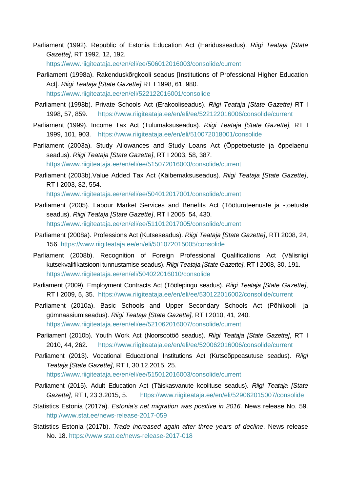Parliament (1992). Republic of Estonia Education Act (Haridusseadus). *Riigi Teataja [State Gazette]*, RT 1992, 12, 192.

<https://www.riigiteataja.ee/en/eli/ee/506012016003/consolide/current>

- Parliament (1998a). Rakenduskõrgkooli seadus [Institutions of Professional Higher Education Act]. *Riigi Teataja [State Gazette]* RT I 1998, 61, 980. <https://www.riigiteataja.ee/en/eli/522122016001/consolide>
- Parliament (1998b). Private Schools Act (Erakooliseadus). *Riigi Teataja [State Gazette]* RT I 1998, 57, 859. <https://www.riigiteataja.ee/en/eli/ee/522122016006/consolide/current>
- Parliament (1999). Income Tax Act (Tulumaksuseadus). *Riigi Teataja [State Gazette],* RT I 1999, 101, 903. [https://www.riigiteataja.ee/en/eli/510072018001/consolide](https://www.riigiteataja.ee/akt/119032015066%20ert/765523)
- Parliament (2003a). Study Allowances and Study Loans Act (Õppetoetuste ja õppelaenu seadus). *Riigi Teataja [State Gazette]*, RT I 2003, 58, 387. <https://www.riigiteataja.ee/en/eli/ee/515072016003/consolide/current>
- Parliament (2003b).Value Added Tax Act (Käibemaksuseadus). *Riigi Teataja [State Gazette]*, RT I 2003, 82, 554. <https://www.riigiteataja.ee/en/eli/ee/504012017001/consolide/current>
- Parliament (2005). Labour Market Services and Benefits Act (Tööturuteenuste ja -toetuste seadus). *Riigi Teataja [State Gazette]*, RT I 2005, 54, 430. <https://www.riigiteataja.ee/en/eli/ee/511012017005/consolide/current>
- Parliament (2008a). Professions Act (Kutseseadus). *Riigi Teataja [State Gazette]*, RTI 2008, 24,
- 156.<https://www.riigiteataja.ee/en/eli/501072015005/consolide>
- Parliament (2008b). Recognition of Foreign Professional Qualifications Act (Välisriigi kutsekvalifikatsiooni tunnustamise seadus). *Riigi Teataja [State Gazette]*, RT I 2008, 30, 191. <https://www.riigiteataja.ee/en/eli/504022016010/consolide>
- Parliament (2009). Employment Contracts Act (Töölepingu seadus). *Riigi Teataja [State Gazette]*, RT I 2009, 5, 35. <https://www.riigiteataja.ee/en/eli/ee/530122016002/consolide/current>
- Parliament (2010a). Basic Schools and Upper Secondary Schools Act (Põhikooli- ja gümnaasiumiseadus). *Riigi Teataja [State Gazette],* RT I 2010, 41, 240. <https://www.riigiteataja.ee/en/eli/ee/521062016007/consolide/current>
- Parliament (2010b). Youth Work Act (Noorsootöö seadus). *Riigi Teataja [State Gazette]*, RT I 2010, 44, 262. <https://www.riigiteataja.ee/en/eli/ee/520062016006/consolide/current>
- Parliament (2013). Vocational Educational Institutions Act (Kutseõppeasutuse seadus). *Riigi Teataja [State Gazette]*, RT I, 30.12.2015, 25.
	- <https://www.riigiteataja.ee/en/eli/ee/515012016003/consolide/current>
- Parliament (2015). Adult Education Act (Täiskasvanute koolituse seadus). *Riigi Teataja [State Gazette]*, RT I, 23.3.2015, 5. <https://www.riigiteataja.ee/en/eli/529062015007/consolide>
- Statistics Estonia (2017a). *Estonia's net migration was positive in 2016*. News release No. 59. <http://www.stat.ee/news-release-2017-059>
- Statistics Estonia (2017b). *Trade increased again after three years of decline*. News release No. 18.<https://www.stat.ee/news-release-2017-018>